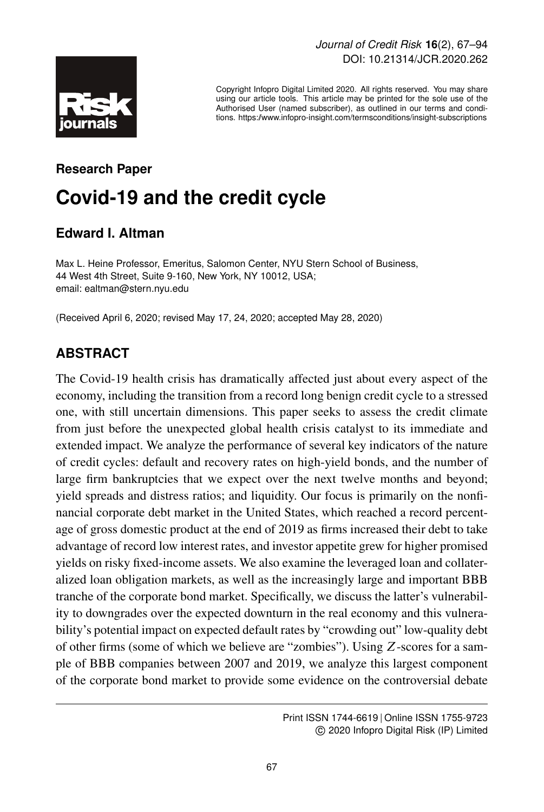

Copyright Infopro Digital Limited 2020. All rights reserved. You may share using our article tools. This article may be printed for the sole use of the Authorised User (named subscriber), as outlined in our terms and conditions. https://www.infopro-insight.com/termsconditions/insight-subscriptions

# **Research Paper Covid-19 and the credit cycle**

### **Edward I. Altman**

Max L. Heine Professor, Emeritus, Salomon Center, NYU Stern School of Business, 44 West 4th Street, Suite 9-160, New York, NY 10012, USA; email: ealtman@stern.nyu.edu

(Received April 6, 2020; revised May 17, 24, 2020; accepted May 28, 2020)

# **ABSTRACT**

The Covid-19 health crisis has dramatically affected just about every aspect of the economy, including the transition from a record long benign credit cycle to a stressed one, with still uncertain dimensions. This paper seeks to assess the credit climate from just before the unexpected global health crisis catalyst to its immediate and extended impact. We analyze the performance of several key indicators of the nature of credit cycles: default and recovery rates on high-yield bonds, and the number of large firm bankruptcies that we expect over the next twelve months and beyond; yield spreads and distress ratios; and liquidity. Our focus is primarily on the nonfinancial corporate debt market in the United States, which reached a record percentage of gross domestic product at the end of 2019 as firms increased their debt to take advantage of record low interest rates, and investor appetite grew for higher promised yields on risky fixed-income assets. We also examine the leveraged loan and collateralized loan obligation markets, as well as the increasingly large and important BBB tranche of the corporate bond market. Specifically, we discuss the latter's vulnerability to downgrades over the expected downturn in the real economy and this vulnerability's potential impact on expected default rates by "crowding out" low-quality debt of other firms (some of which we believe are "zombies"). Using Z-scores for a sample of BBB companies between 2007 and 2019, we analyze this largest component of the corporate bond market to provide some evidence on the controversial debate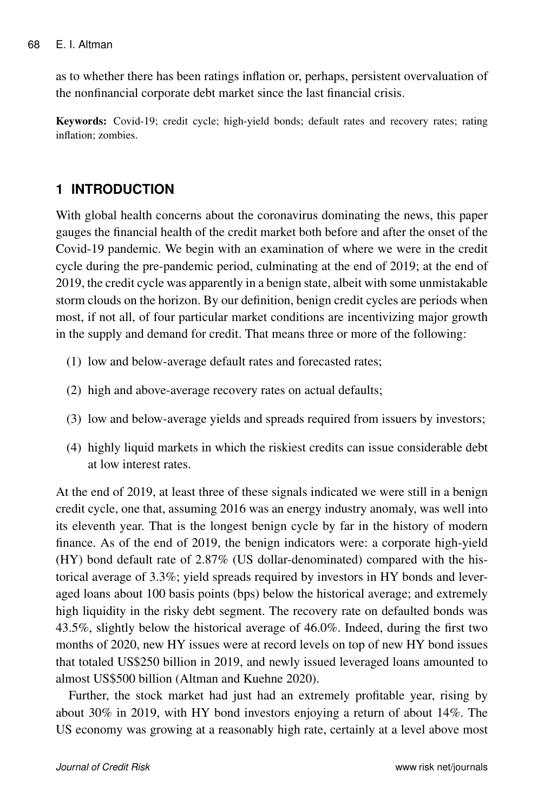as to whether there has been ratings inflation or, perhaps, persistent overvaluation of the nonfinancial corporate debt market since the last financial crisis.

Keywords: Covid-19; credit cycle; high-yield bonds; default rates and recovery rates; rating inflation; zombies.

### **1 INTRODUCTION**

With global health concerns about the coronavirus dominating the news, this paper gauges the financial health of the credit market both before and after the onset of the Covid-19 pandemic. We begin with an examination of where we were in the credit cycle during the pre-pandemic period, culminating at the end of 2019; at the end of 2019, the credit cycle was apparently in a benign state, albeit with some unmistakable storm clouds on the horizon. By our definition, benign credit cycles are periods when most, if not all, of four particular market conditions are incentivizing major growth in the supply and demand for credit. That means three or more of the following:

- (1) low and below-average default rates and forecasted rates;
- (2) high and above-average recovery rates on actual defaults;
- (3) low and below-average yields and spreads required from issuers by investors;
- (4) highly liquid markets in which the riskiest credits can issue considerable debt at low interest rates.

At the end of 2019, at least three of these signals indicated we were still in a benign credit cycle, one that, assuming 2016 was an energy industry anomaly, was well into its eleventh year. That is the longest benign cycle by far in the history of modern finance. As of the end of 2019, the benign indicators were: a corporate high-yield (HY) bond default rate of 2.87% (US dollar-denominated) compared with the historical average of 3.3%; yield spreads required by investors in HY bonds and leveraged loans about 100 basis points (bps) below the historical average; and extremely high liquidity in the risky debt segment. The recovery rate on defaulted bonds was 43.5%, slightly below the historical average of 46.0%. Indeed, during the first two months of 2020, new HY issues were at record levels on top of new HY bond issues that totaled US\$250 billion in 2019, and newly issued leveraged loans amounted to almost US\$500 billion (Altman and Kuehne 2020).

Further, the stock market had just had an extremely profitable year, rising by about 30% in 2019, with HY bond investors enjoying a return of about 14%. The US economy was growing at a reasonably high rate, certainly at a level above most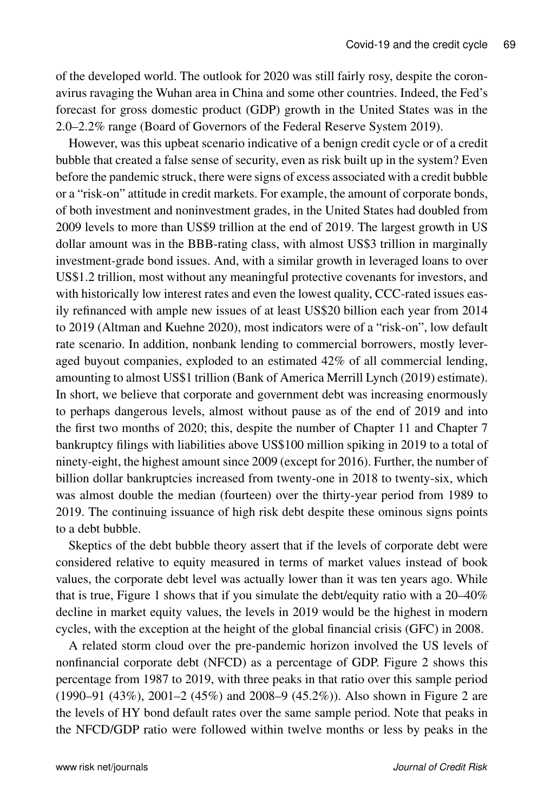of the developed world. The outlook for 2020 was still fairly rosy, despite the coronavirus ravaging the Wuhan area in China and some other countries. Indeed, the Fed's forecast for gross domestic product (GDP) growth in the United States was in the 2.0–2.2% range (Board of Governors of the Federal Reserve System 2019).

However, was this upbeat scenario indicative of a benign credit cycle or of a credit bubble that created a false sense of security, even as risk built up in the system? Even before the pandemic struck, there were signs of excess associated with a credit bubble or a "risk-on" attitude in credit markets. For example, the amount of corporate bonds, of both investment and noninvestment grades, in the United States had doubled from 2009 levels to more than US\$9 trillion at the end of 2019. The largest growth in US dollar amount was in the BBB-rating class, with almost US\$3 trillion in marginally investment-grade bond issues. And, with a similar growth in leveraged loans to over US\$1.2 trillion, most without any meaningful protective covenants for investors, and with historically low interest rates and even the lowest quality, CCC-rated issues easily refinanced with ample new issues of at least US\$20 billion each year from 2014 to 2019 (Altman and Kuehne 2020), most indicators were of a "risk-on", low default rate scenario. In addition, nonbank lending to commercial borrowers, mostly leveraged buyout companies, exploded to an estimated 42% of all commercial lending, amounting to almost US\$1 trillion (Bank of America Merrill Lynch (2019) estimate). In short, we believe that corporate and government debt was increasing enormously to perhaps dangerous levels, almost without pause as of the end of 2019 and into the first two months of 2020; this, despite the number of Chapter 11 and Chapter 7 bankruptcy filings with liabilities above US\$100 million spiking in 2019 to a total of ninety-eight, the highest amount since 2009 (except for 2016). Further, the number of billion dollar bankruptcies increased from twenty-one in 2018 to twenty-six, which was almost double the median (fourteen) over the thirty-year period from 1989 to 2019. The continuing issuance of high risk debt despite these ominous signs points to a debt bubble.

Skeptics of the debt bubble theory assert that if the levels of corporate debt were considered relative to equity measured in terms of market values instead of book values, the corporate debt level was actually lower than it was ten years ago. While that is true, Figure 1 shows that if you simulate the debt/equity ratio with a 20–40% decline in market equity values, the levels in 2019 would be the highest in modern cycles, with the exception at the height of the global financial crisis (GFC) in 2008.

A related storm cloud over the pre-pandemic horizon involved the US levels of nonfinancial corporate debt (NFCD) as a percentage of GDP. Figure 2 shows this percentage from 1987 to 2019, with three peaks in that ratio over this sample period (1990–91 (43%), 2001–2 (45%) and 2008–9 (45.2%)). Also shown in Figure 2 are the levels of HY bond default rates over the same sample period. Note that peaks in the NFCD/GDP ratio were followed within twelve months or less by peaks in the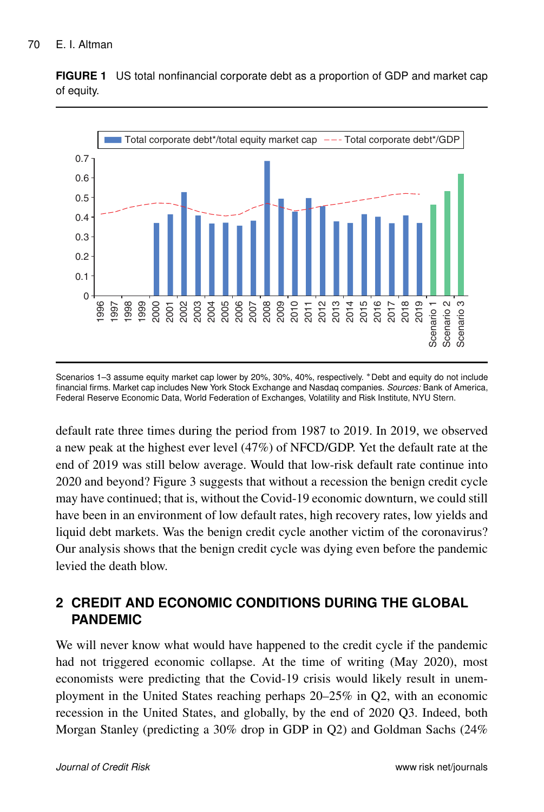

**FIGURE 1** US total nonfinancial corporate debt as a proportion of GDP and market cap of equity.

Scenarios 1-3 assume equity market cap lower by 20%, 30%, 40%, respectively. \* Debt and equity do not include financial firms. Market cap includes New York Stock Exchange and Nasdaq companies. *Sources:* Bank of America, Federal Reserve Economic Data, World Federation of Exchanges, Volatility and Risk Institute, NYU Stern.

default rate three times during the period from 1987 to 2019. In 2019, we observed a new peak at the highest ever level (47%) of NFCD/GDP. Yet the default rate at the end of 2019 was still below average. Would that low-risk default rate continue into 2020 and beyond? Figure 3 suggests that without a recession the benign credit cycle may have continued; that is, without the Covid-19 economic downturn, we could still have been in an environment of low default rates, high recovery rates, low yields and liquid debt markets. Was the benign credit cycle another victim of the coronavirus? Our analysis shows that the benign credit cycle was dying even before the pandemic levied the death blow.

# **2 CREDIT AND ECONOMIC CONDITIONS DURING THE GLOBAL PANDEMIC**

We will never know what would have happened to the credit cycle if the pandemic had not triggered economic collapse. At the time of writing (May 2020), most economists were predicting that the Covid-19 crisis would likely result in unemployment in the United States reaching perhaps 20–25% in Q2, with an economic recession in the United States, and globally, by the end of 2020 Q3. Indeed, both Morgan Stanley (predicting a 30% drop in GDP in Q2) and Goldman Sachs (24%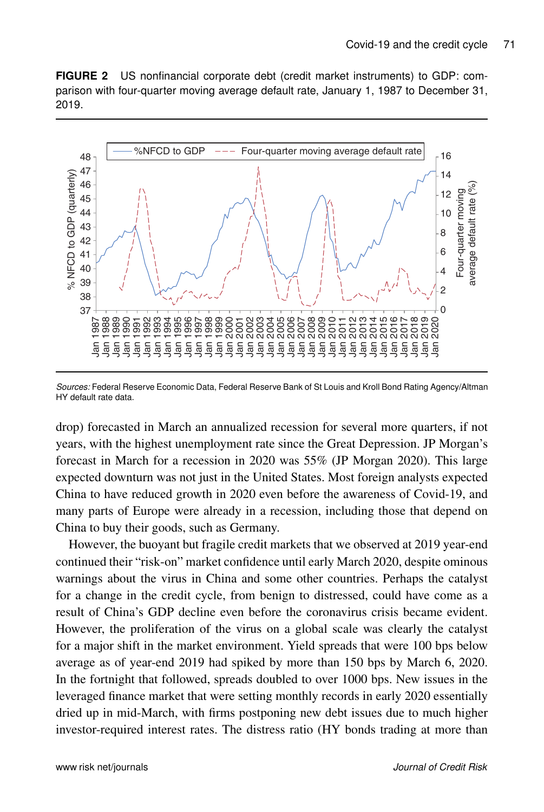**FIGURE 2** US nonfinancial corporate debt (credit market instruments) to GDP: comparison with four-quarter moving average default rate, January 1, 1987 to December 31, 2019.



*Sources:* Federal Reserve Economic Data, Federal Reserve Bank of St Louis and Kroll Bond Rating Agency/Altman HY default rate data.

drop) forecasted in March an annualized recession for several more quarters, if not years, with the highest unemployment rate since the Great Depression. JP Morgan's forecast in March for a recession in 2020 was 55% (JP Morgan 2020). This large expected downturn was not just in the United States. Most foreign analysts expected China to have reduced growth in 2020 even before the awareness of Covid-19, and many parts of Europe were already in a recession, including those that depend on China to buy their goods, such as Germany.

However, the buoyant but fragile credit markets that we observed at 2019 year-end continued their "risk-on" market confidence until early March 2020, despite ominous warnings about the virus in China and some other countries. Perhaps the catalyst for a change in the credit cycle, from benign to distressed, could have come as a result of China's GDP decline even before the coronavirus crisis became evident. However, the proliferation of the virus on a global scale was clearly the catalyst for a major shift in the market environment. Yield spreads that were 100 bps below average as of year-end 2019 had spiked by more than 150 bps by March 6, 2020. In the fortnight that followed, spreads doubled to over 1000 bps. New issues in the leveraged finance market that were setting monthly records in early 2020 essentially dried up in mid-March, with firms postponing new debt issues due to much higher investor-required interest rates. The distress ratio (HY bonds trading at more than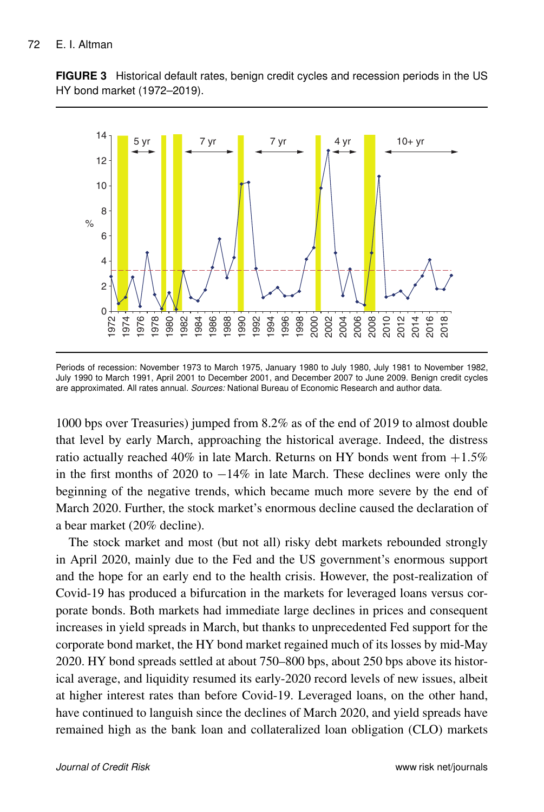**FIGURE 3** Historical default rates, benign credit cycles and recession periods in the US HY bond market (1972–2019).



Periods of recession: November 1973 to March 1975, January 1980 to July 1980, July 1981 to November 1982, July 1990 to March 1991, April 2001 to December 2001, and December 2007 to June 2009. Benign credit cycles are approximated. All rates annual. *Sources:* National Bureau of Economic Research and author data.

1000 bps over Treasuries) jumped from 8.2% as of the end of 2019 to almost double that level by early March, approaching the historical average. Indeed, the distress ratio actually reached 40% in late March. Returns on HY bonds went from  $+1.5\%$ in the first months of 2020 to  $-14\%$  in late March. These declines were only the beginning of the negative trends, which became much more severe by the end of March 2020. Further, the stock market's enormous decline caused the declaration of a bear market (20% decline).

The stock market and most (but not all) risky debt markets rebounded strongly in April 2020, mainly due to the Fed and the US government's enormous support and the hope for an early end to the health crisis. However, the post-realization of Covid-19 has produced a bifurcation in the markets for leveraged loans versus corporate bonds. Both markets had immediate large declines in prices and consequent increases in yield spreads in March, but thanks to unprecedented Fed support for the corporate bond market, the HY bond market regained much of its losses by mid-May 2020. HY bond spreads settled at about 750–800 bps, about 250 bps above its historical average, and liquidity resumed its early-2020 record levels of new issues, albeit at higher interest rates than before Covid-19. Leveraged loans, on the other hand, have continued to languish since the declines of March 2020, and yield spreads have remained high as the bank loan and collateralized loan obligation (CLO) markets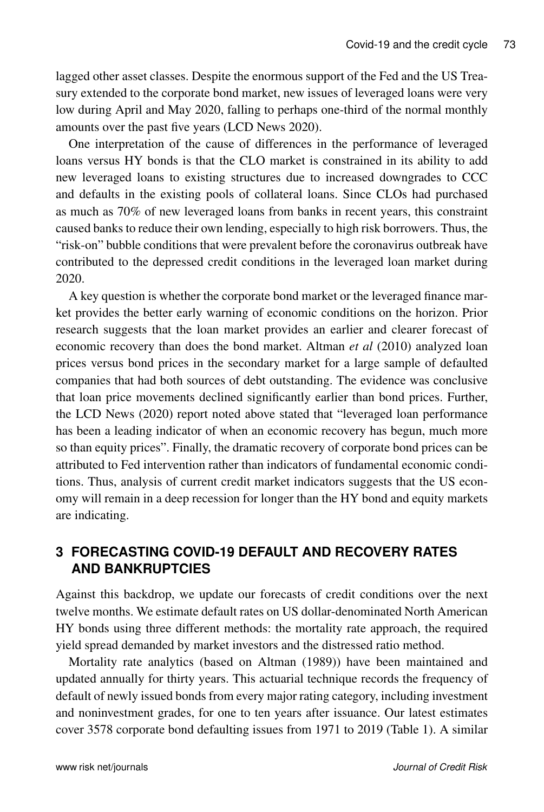lagged other asset classes. Despite the enormous support of the Fed and the US Treasury extended to the corporate bond market, new issues of leveraged loans were very low during April and May 2020, falling to perhaps one-third of the normal monthly amounts over the past five years (LCD News 2020).

One interpretation of the cause of differences in the performance of leveraged loans versus HY bonds is that the CLO market is constrained in its ability to add new leveraged loans to existing structures due to increased downgrades to CCC and defaults in the existing pools of collateral loans. Since CLOs had purchased as much as 70% of new leveraged loans from banks in recent years, this constraint caused banks to reduce their own lending, especially to high risk borrowers. Thus, the "risk-on" bubble conditions that were prevalent before the coronavirus outbreak have contributed to the depressed credit conditions in the leveraged loan market during 2020.

A key question is whether the corporate bond market or the leveraged finance market provides the better early warning of economic conditions on the horizon. Prior research suggests that the loan market provides an earlier and clearer forecast of economic recovery than does the bond market. Altman *et al* (2010) analyzed loan prices versus bond prices in the secondary market for a large sample of defaulted companies that had both sources of debt outstanding. The evidence was conclusive that loan price movements declined significantly earlier than bond prices. Further, the LCD News (2020) report noted above stated that "leveraged loan performance has been a leading indicator of when an economic recovery has begun, much more so than equity prices". Finally, the dramatic recovery of corporate bond prices can be attributed to Fed intervention rather than indicators of fundamental economic conditions. Thus, analysis of current credit market indicators suggests that the US economy will remain in a deep recession for longer than the HY bond and equity markets are indicating.

### **3 FORECASTING COVID-19 DEFAULT AND RECOVERY RATES AND BANKRUPTCIES**

Against this backdrop, we update our forecasts of credit conditions over the next twelve months. We estimate default rates on US dollar-denominated North American HY bonds using three different methods: the mortality rate approach, the required yield spread demanded by market investors and the distressed ratio method.

Mortality rate analytics (based on Altman (1989)) have been maintained and updated annually for thirty years. This actuarial technique records the frequency of default of newly issued bonds from every major rating category, including investment and noninvestment grades, for one to ten years after issuance. Our latest estimates cover 3578 corporate bond defaulting issues from 1971 to 2019 (Table 1). A similar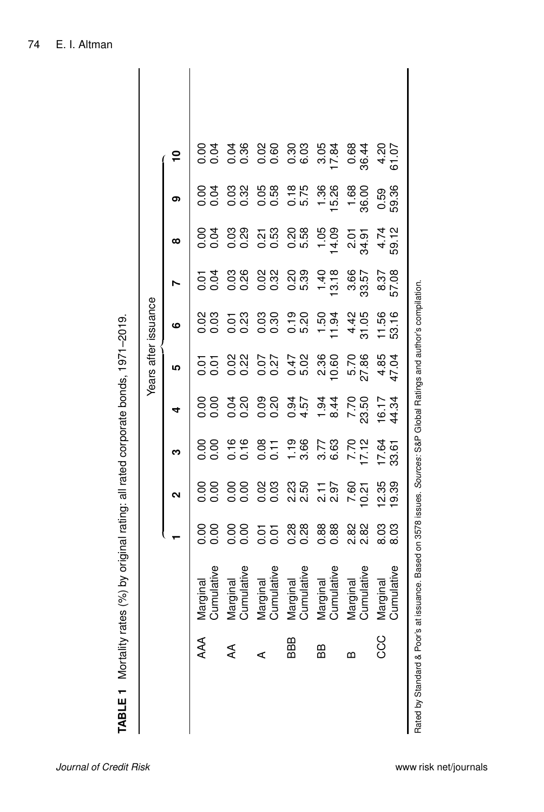|      |                                                                                                                     |                       |                  |                   |                      |                  | Years after issuance |               |                |                  |                                                 |  |
|------|---------------------------------------------------------------------------------------------------------------------|-----------------------|------------------|-------------------|----------------------|------------------|----------------------|---------------|----------------|------------------|-------------------------------------------------|--|
|      |                                                                                                                     |                       |                  | ო                 | 4                    | ഥ                | ဖ                    |               | ထ              | ග                | $\overline{\mathbf{C}}$                         |  |
| AAA  | Cumulative<br>Marginal                                                                                              | 0.00<br>$\frac{8}{1}$ | 88<br>0.00       | 88<br>0.00        |                      |                  |                      | 53<br>0.01    |                | 0.04             | 0.04                                            |  |
| ₹    | Cumulative<br>Marginal                                                                                              | 8.80                  | $\frac{80}{100}$ | 0.16              | 88<br>88<br>88<br>88 | 55 88<br>55 88   | 000 000<br>000 000   | 0.26          | 83 88<br>83 88 | 0.032            | 0.36<br>0.36                                    |  |
| ⋖    | Cumulative<br>Marginal                                                                                              | 0.01<br>0.01          | 0.03             | 0.11              | 0.20                 | $0.07$<br>$0.27$ | 0.30                 | 0.32<br>0.32  | 0.53<br>0.53   | 0.58<br>0.58     | $\begin{array}{c}\n 0.00 \\ 0.00\n \end{array}$ |  |
| BBB  | Cumulative<br>Marginal                                                                                              | 88<br>0.28            | 23<br>25<br>20   | $\frac{9}{3}$ .66 | 4.57                 | 0.47<br>5.02     | $0.19$<br>5.20       | 0.39<br>0.59  | 0.58<br>5.58   | $\frac{8}{5.75}$ | 0.3<br>0.9<br>0.9                               |  |
| ВB   | Cumulative<br>Marginal                                                                                              | 0.88<br>0.88          | $2.97$<br>$2.97$ | 3.73<br>6.8       | $\frac{1}{94}$<br>94 | 2.36<br>10.60    | $1.50$<br>$1.94$     | 13.18         | 14.09          | 136<br>15.26     | 3.05<br>17.84                                   |  |
| m    | Cumulative<br>Marginal                                                                                              | 28<br>28<br>28        | 7.60<br>10.21    | 7.70<br>17.12     | 7.50                 | 5.70<br>27.86    | 4.42<br>31.05        | 3.66<br>33.57 | 34.91<br>2.01  | 1.68<br>36.00    | 0.68<br>36.44                                   |  |
| ပ္ပင | Cumulative<br>Marginal                                                                                              | 8.03<br>8.03          | 12.35<br>19.39   | 17.64<br>33.61    | 16.17<br>44.34       | 4.85<br>47.04    | 11.56<br>53.16       | 57.08<br>8.37 | 59.12<br>4.74  | 59.36<br>0.59    | $4.07$<br>61.07                                 |  |
|      | Rated by Standard & Poor's at issuance. Based on 3578 issues. Sources: S&P Global Ratings and author's compilation. |                       |                  |                   |                      |                  |                      |               |                |                  |                                                 |  |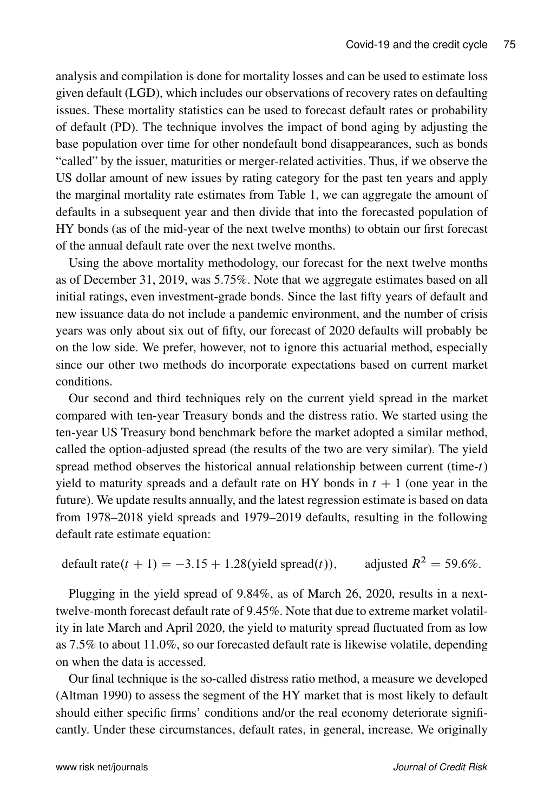analysis and compilation is done for mortality losses and can be used to estimate loss given default (LGD), which includes our observations of recovery rates on defaulting issues. These mortality statistics can be used to forecast default rates or probability of default (PD). The technique involves the impact of bond aging by adjusting the base population over time for other nondefault bond disappearances, such as bonds "called" by the issuer, maturities or merger-related activities. Thus, if we observe the US dollar amount of new issues by rating category for the past ten years and apply the marginal mortality rate estimates from Table 1, we can aggregate the amount of defaults in a subsequent year and then divide that into the forecasted population of HY bonds (as of the mid-year of the next twelve months) to obtain our first forecast of the annual default rate over the next twelve months.

Using the above mortality methodology, our forecast for the next twelve months as of December 31, 2019, was 5.75%. Note that we aggregate estimates based on all initial ratings, even investment-grade bonds. Since the last fifty years of default and new issuance data do not include a pandemic environment, and the number of crisis years was only about six out of fifty, our forecast of 2020 defaults will probably be on the low side. We prefer, however, not to ignore this actuarial method, especially since our other two methods do incorporate expectations based on current market conditions.

Our second and third techniques rely on the current yield spread in the market compared with ten-year Treasury bonds and the distress ratio. We started using the ten-year US Treasury bond benchmark before the market adopted a similar method, called the option-adjusted spread (the results of the two are very similar). The yield spread method observes the historical annual relationship between current (time- $t$ ) yield to maturity spreads and a default rate on HY bonds in  $t + 1$  (one year in the future). We update results annually, and the latest regression estimate is based on data from 1978–2018 yield spreads and 1979–2019 defaults, resulting in the following default rate estimate equation:

default rate $(t + 1) = -3.15 + 1.28$  (yield spread $(t)$ ), adjusted  $R^2 = 59.6\%$ .

Plugging in the yield spread of 9.84%, as of March 26, 2020, results in a nexttwelve-month forecast default rate of 9.45%. Note that due to extreme market volatility in late March and April 2020, the yield to maturity spread fluctuated from as low as 7.5% to about 11.0%, so our forecasted default rate is likewise volatile, depending on when the data is accessed.

Our final technique is the so-called distress ratio method, a measure we developed (Altman 1990) to assess the segment of the HY market that is most likely to default should either specific firms' conditions and/or the real economy deteriorate significantly. Under these circumstances, default rates, in general, increase. We originally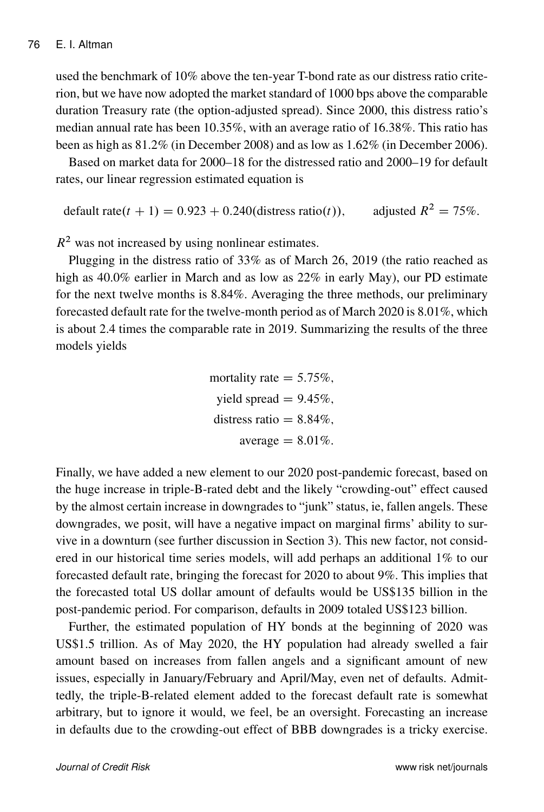used the benchmark of 10% above the ten-year T-bond rate as our distress ratio criterion, but we have now adopted the market standard of 1000 bps above the comparable duration Treasury rate (the option-adjusted spread). Since 2000, this distress ratio's median annual rate has been 10.35%, with an average ratio of 16.38%. This ratio has been as high as 81.2% (in December 2008) and as low as 1.62% (in December 2006).

Based on market data for 2000–18 for the distressed ratio and 2000–19 for default rates, our linear regression estimated equation is

default rate $(t + 1) = 0.923 + 0.240$ (distress ratio(*t*)), adjusted  $R^2 = 75\%$ .

 $R<sup>2</sup>$  was not increased by using nonlinear estimates.

Plugging in the distress ratio of 33% as of March 26, 2019 (the ratio reached as high as 40.0% earlier in March and as low as  $22\%$  in early May), our PD estimate for the next twelve months is 8.84%. Averaging the three methods, our preliminary forecasted default rate for the twelve-month period as of March 2020 is 8.01%, which is about 2.4 times the comparable rate in 2019. Summarizing the results of the three models yields

> mortality rate  $= 5.75\%$ , yield spread  $= 9.45\%$ , distress ratio  $= 8.84\%$ , average  $= 8.01\%$ .

Finally, we have added a new element to our 2020 post-pandemic forecast, based on the huge increase in triple-B-rated debt and the likely "crowding-out" effect caused by the almost certain increase in downgrades to "junk" status, ie, fallen angels. These downgrades, we posit, will have a negative impact on marginal firms' ability to survive in a downturn (see further discussion in Section 3). This new factor, not considered in our historical time series models, will add perhaps an additional 1% to our forecasted default rate, bringing the forecast for 2020 to about 9%. This implies that the forecasted total US dollar amount of defaults would be US\$135 billion in the post-pandemic period. For comparison, defaults in 2009 totaled US\$123 billion.

Further, the estimated population of HY bonds at the beginning of 2020 was US\$1.5 trillion. As of May 2020, the HY population had already swelled a fair amount based on increases from fallen angels and a significant amount of new issues, especially in January/February and April/May, even net of defaults. Admittedly, the triple-B-related element added to the forecast default rate is somewhat arbitrary, but to ignore it would, we feel, be an oversight. Forecasting an increase in defaults due to the crowding-out effect of BBB downgrades is a tricky exercise.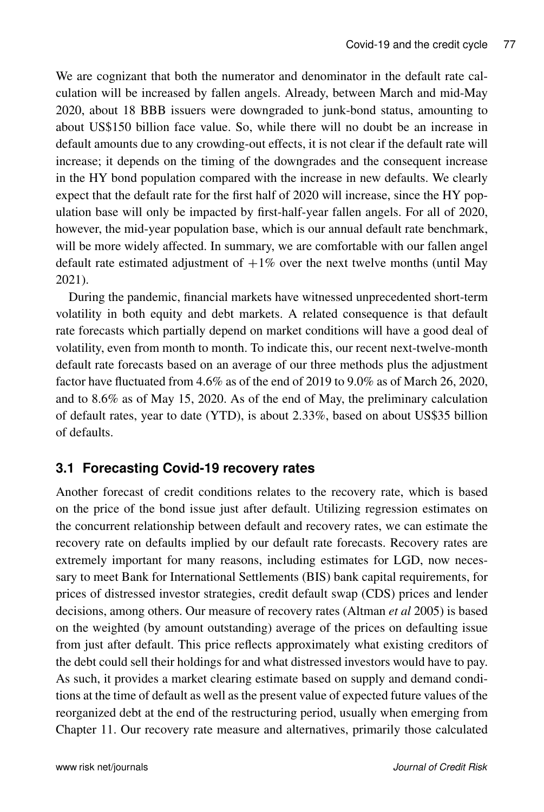We are cognizant that both the numerator and denominator in the default rate calculation will be increased by fallen angels. Already, between March and mid-May 2020, about 18 BBB issuers were downgraded to junk-bond status, amounting to about US\$150 billion face value. So, while there will no doubt be an increase in default amounts due to any crowding-out effects, it is not clear if the default rate will increase; it depends on the timing of the downgrades and the consequent increase in the HY bond population compared with the increase in new defaults. We clearly expect that the default rate for the first half of 2020 will increase, since the HY population base will only be impacted by first-half-year fallen angels. For all of 2020, however, the mid-year population base, which is our annual default rate benchmark, will be more widely affected. In summary, we are comfortable with our fallen angel default rate estimated adjustment of  $+1\%$  over the next twelve months (until May 2021).

During the pandemic, financial markets have witnessed unprecedented short-term volatility in both equity and debt markets. A related consequence is that default rate forecasts which partially depend on market conditions will have a good deal of volatility, even from month to month. To indicate this, our recent next-twelve-month default rate forecasts based on an average of our three methods plus the adjustment factor have fluctuated from 4.6% as of the end of 2019 to 9.0% as of March 26, 2020, and to 8.6% as of May 15, 2020. As of the end of May, the preliminary calculation of default rates, year to date (YTD), is about 2.33%, based on about US\$35 billion of defaults.

# **3.1 Forecasting Covid-19 recovery rates**

Another forecast of credit conditions relates to the recovery rate, which is based on the price of the bond issue just after default. Utilizing regression estimates on the concurrent relationship between default and recovery rates, we can estimate the recovery rate on defaults implied by our default rate forecasts. Recovery rates are extremely important for many reasons, including estimates for LGD, now necessary to meet Bank for International Settlements (BIS) bank capital requirements, for prices of distressed investor strategies, credit default swap (CDS) prices and lender decisions, among others. Our measure of recovery rates (Altman *et al* 2005) is based on the weighted (by amount outstanding) average of the prices on defaulting issue from just after default. This price reflects approximately what existing creditors of the debt could sell their holdings for and what distressed investors would have to pay. As such, it provides a market clearing estimate based on supply and demand conditions at the time of default as well as the present value of expected future values of the reorganized debt at the end of the restructuring period, usually when emerging from Chapter 11. Our recovery rate measure and alternatives, primarily those calculated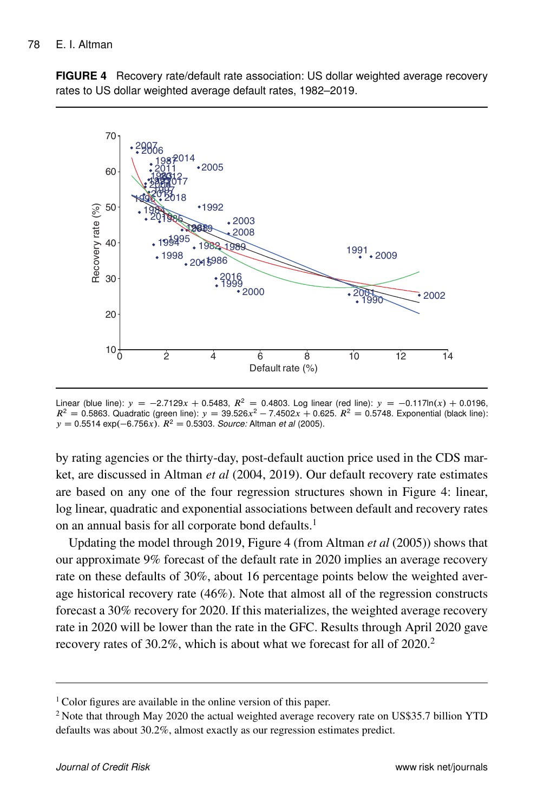**FIGURE 4** Recovery rate/default rate association: US dollar weighted average recovery rates to US dollar weighted average default rates, 1982–2019.



Linear (blue line):  $y = -2.7129x + 0.5483$ ,  $R^2 = 0.4803$ . Log linear (red line):  $y = -0.117\ln(x) + 0.0196$ ,  $R^2 = 0.5863$ . Quadratic (green line):  $y = 39.526x^2 - 7.4502x + 0.625$ .  $R^2 = 0.5748$ . Exponential (black line):  $y = 0.5514$  exp $(-6.756x)$ .  $R^2 = 0.5303$ . *Source:* Altman *et al* (2005).

by rating agencies or the thirty-day, post-default auction price used in the CDS market, are discussed in Altman *et al* (2004, 2019). Our default recovery rate estimates are based on any one of the four regression structures shown in Figure 4: linear, log linear, quadratic and exponential associations between default and recovery rates on an annual basis for all corporate bond defaults.<sup>1</sup>

Updating the model through 2019, Figure 4 (from Altman *et al* (2005)) shows that our approximate 9% forecast of the default rate in 2020 implies an average recovery rate on these defaults of 30%, about 16 percentage points below the weighted average historical recovery rate (46%). Note that almost all of the regression constructs forecast a 30% recovery for 2020. If this materializes, the weighted average recovery rate in 2020 will be lower than the rate in the GFC. Results through April 2020 gave recovery rates of 30.2%, which is about what we forecast for all of 2020.<sup>2</sup>

Color figures are available in the online version of this paper.

 Note that through May 2020 the actual weighted average recovery rate on US\$35.7 billion YTD defaults was about 30.2%, almost exactly as our regression estimates predict.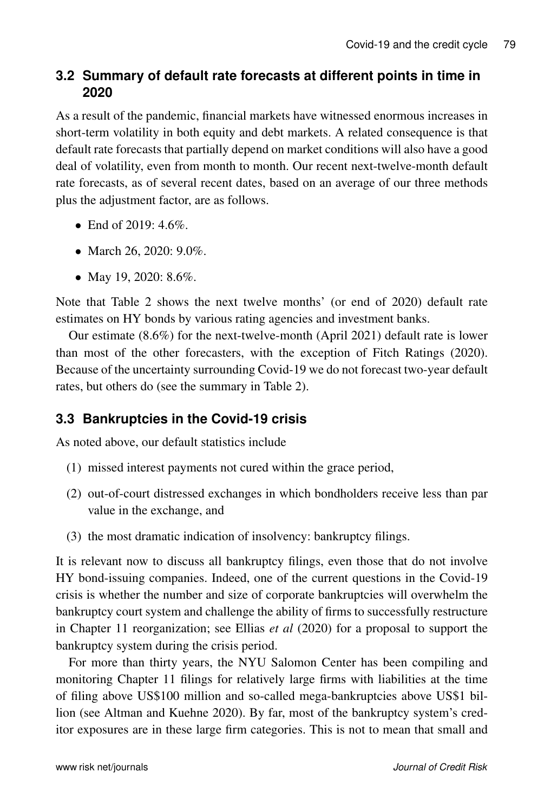# **3.2 Summary of default rate forecasts at different points in time in 2020**

As a result of the pandemic, financial markets have witnessed enormous increases in short-term volatility in both equity and debt markets. A related consequence is that default rate forecasts that partially depend on market conditions will also have a good deal of volatility, even from month to month. Our recent next-twelve-month default rate forecasts, as of several recent dates, based on an average of our three methods plus the adjustment factor, are as follows.

- End of  $2019: 4.6\%$ .
- March 26, 2020: 9.0%.
- May 19, 2020: 8.6%.

Note that Table 2 shows the next twelve months' (or end of 2020) default rate estimates on HY bonds by various rating agencies and investment banks.

Our estimate (8.6%) for the next-twelve-month (April 2021) default rate is lower than most of the other forecasters, with the exception of Fitch Ratings (2020). Because of the uncertainty surrounding Covid-19 we do not forecast two-year default rates, but others do (see the summary in Table 2).

# **3.3 Bankruptcies in the Covid-19 crisis**

As noted above, our default statistics include

- (1) missed interest payments not cured within the grace period,
- (2) out-of-court distressed exchanges in which bondholders receive less than par value in the exchange, and
- (3) the most dramatic indication of insolvency: bankruptcy filings.

It is relevant now to discuss all bankruptcy filings, even those that do not involve HY bond-issuing companies. Indeed, one of the current questions in the Covid-19 crisis is whether the number and size of corporate bankruptcies will overwhelm the bankruptcy court system and challenge the ability of firms to successfully restructure in Chapter 11 reorganization; see Ellias *et al* (2020) for a proposal to support the bankruptcy system during the crisis period.

For more than thirty years, the NYU Salomon Center has been compiling and monitoring Chapter 11 filings for relatively large firms with liabilities at the time of filing above US\$100 million and so-called mega-bankruptcies above US\$1 billion (see Altman and Kuehne 2020). By far, most of the bankruptcy system's creditor exposures are in these large firm categories. This is not to mean that small and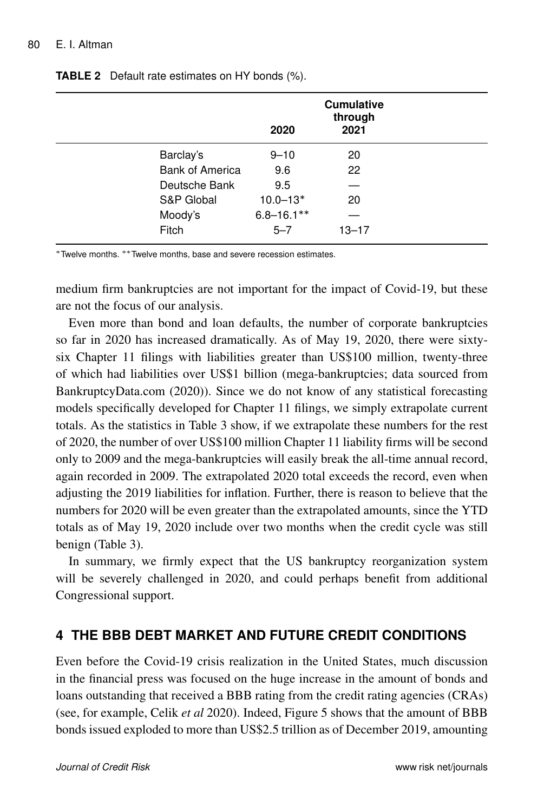|                        | 2020            | <b>Cumulative</b><br>through<br>2021 |  |
|------------------------|-----------------|--------------------------------------|--|
| Barclay's              | $9 - 10$        | 20                                   |  |
| <b>Bank of America</b> | 9.6             | 22                                   |  |
| Deutsche Bank          | 9.5             |                                      |  |
| S&P Global             | $10.0 - 13*$    | 20                                   |  |
| Moody's                | $6.8 - 16.1***$ |                                      |  |
| Fitch                  | $5 - 7$         | $13 - 17$                            |  |

#### **TABLE 2** Default rate estimates on HY bonds (%).

\* Twelve months, \*\* Twelve months, base and severe recession estimates.

medium firm bankruptcies are not important for the impact of Covid-19, but these are not the focus of our analysis.

Even more than bond and loan defaults, the number of corporate bankruptcies so far in 2020 has increased dramatically. As of May 19, 2020, there were sixtysix Chapter 11 filings with liabilities greater than US\$100 million, twenty-three of which had liabilities over US\$1 billion (mega-bankruptcies; data sourced from BankruptcyData.com (2020)). Since we do not know of any statistical forecasting models specifically developed for Chapter 11 filings, we simply extrapolate current totals. As the statistics in Table 3 show, if we extrapolate these numbers for the rest of 2020, the number of over US\$100 million Chapter 11 liability firms will be second only to 2009 and the mega-bankruptcies will easily break the all-time annual record, again recorded in 2009. The extrapolated 2020 total exceeds the record, even when adjusting the 2019 liabilities for inflation. Further, there is reason to believe that the numbers for 2020 will be even greater than the extrapolated amounts, since the YTD totals as of May 19, 2020 include over two months when the credit cycle was still benign (Table 3).

In summary, we firmly expect that the US bankruptcy reorganization system will be severely challenged in 2020, and could perhaps benefit from additional Congressional support.

### **4 THE BBB DEBT MARKET AND FUTURE CREDIT CONDITIONS**

Even before the Covid-19 crisis realization in the United States, much discussion in the financial press was focused on the huge increase in the amount of bonds and loans outstanding that received a BBB rating from the credit rating agencies (CRAs) (see, for example, Celik *et al* 2020). Indeed, Figure 5 shows that the amount of BBB bonds issued exploded to more than US\$2.5 trillion as of December 2019, amounting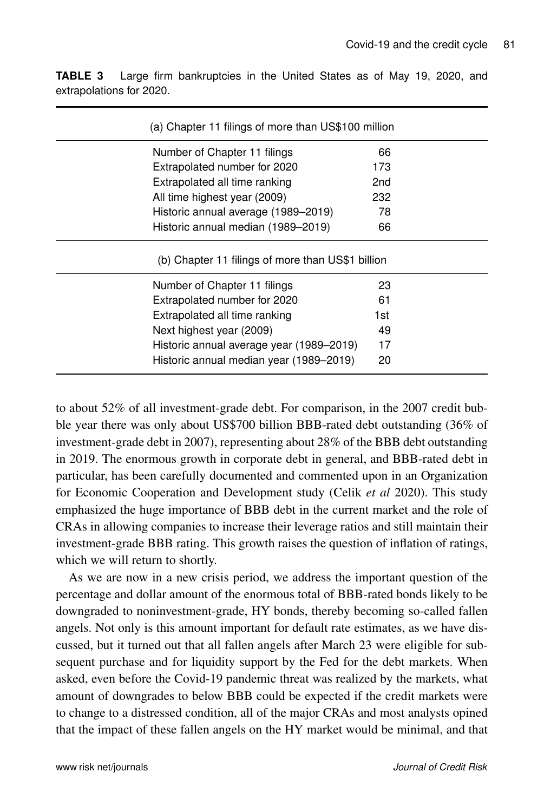| (a) Chapter 11 filings of more than US\$100 million |                 |  |
|-----------------------------------------------------|-----------------|--|
| Number of Chapter 11 filings                        | 66              |  |
| Extrapolated number for 2020                        | 173             |  |
| Extrapolated all time ranking                       | 2 <sub>nd</sub> |  |
| All time highest year (2009)                        | 232             |  |
| Historic annual average (1989-2019)                 | 78              |  |
| Historic annual median (1989–2019)                  | 66              |  |
| (b) Chapter 11 filings of more than US\$1 billion   |                 |  |
| Number of Chapter 11 filings                        | 23              |  |
| Extrapolated number for 2020                        | 61              |  |
| Extrapolated all time ranking                       | 1st             |  |
| Next highest year (2009)                            | 49              |  |
| Historic annual average year (1989–2019)            | 17              |  |
| Historic annual median year (1989-2019)             | 20              |  |

**TABLE 3** Large firm bankruptcies in the United States as of May 19, 2020, and extrapolations for 2020.

to about 52% of all investment-grade debt. For comparison, in the 2007 credit bubble year there was only about US\$700 billion BBB-rated debt outstanding (36% of investment-grade debt in 2007), representing about 28% of the BBB debt outstanding in 2019. The enormous growth in corporate debt in general, and BBB-rated debt in particular, has been carefully documented and commented upon in an Organization for Economic Cooperation and Development study (Celik *et al* 2020). This study emphasized the huge importance of BBB debt in the current market and the role of CRAs in allowing companies to increase their leverage ratios and still maintain their investment-grade BBB rating. This growth raises the question of inflation of ratings, which we will return to shortly.

As we are now in a new crisis period, we address the important question of the percentage and dollar amount of the enormous total of BBB-rated bonds likely to be downgraded to noninvestment-grade, HY bonds, thereby becoming so-called fallen angels. Not only is this amount important for default rate estimates, as we have discussed, but it turned out that all fallen angels after March 23 were eligible for subsequent purchase and for liquidity support by the Fed for the debt markets. When asked, even before the Covid-19 pandemic threat was realized by the markets, what amount of downgrades to below BBB could be expected if the credit markets were to change to a distressed condition, all of the major CRAs and most analysts opined that the impact of these fallen angels on the HY market would be minimal, and that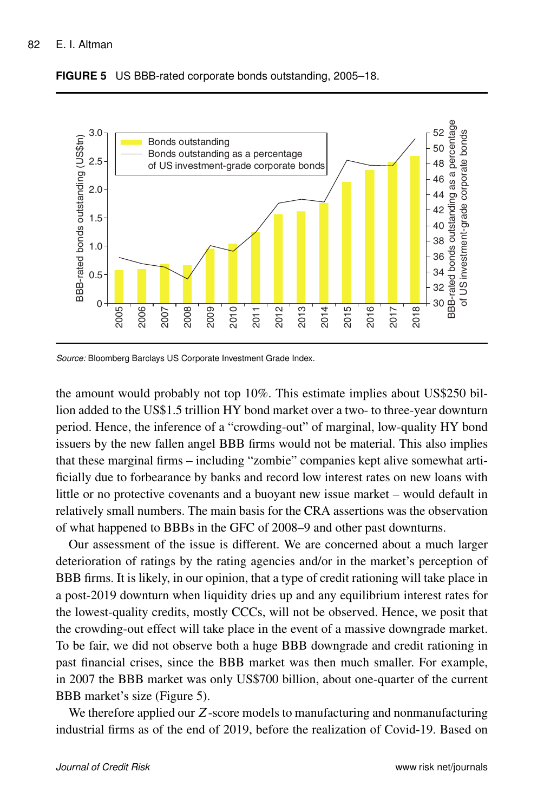

**FIGURE 5** US BBB-rated corporate bonds outstanding, 2005–18.

*Source:* Bloomberg Barclays US Corporate Investment Grade Index.

the amount would probably not top 10%. This estimate implies about US\$250 billion added to the US\$1.5 trillion HY bond market over a two- to three-year downturn period. Hence, the inference of a "crowding-out" of marginal, low-quality HY bond issuers by the new fallen angel BBB firms would not be material. This also implies that these marginal firms – including "zombie" companies kept alive somewhat artificially due to forbearance by banks and record low interest rates on new loans with little or no protective covenants and a buoyant new issue market – would default in relatively small numbers. The main basis for the CRA assertions was the observation of what happened to BBBs in the GFC of 2008–9 and other past downturns.

Our assessment of the issue is different. We are concerned about a much larger deterioration of ratings by the rating agencies and/or in the market's perception of BBB firms. It is likely, in our opinion, that a type of credit rationing will take place in a post-2019 downturn when liquidity dries up and any equilibrium interest rates for the lowest-quality credits, mostly CCCs, will not be observed. Hence, we posit that the crowding-out effect will take place in the event of a massive downgrade market. To be fair, we did not observe both a huge BBB downgrade and credit rationing in past financial crises, since the BBB market was then much smaller. For example, in 2007 the BBB market was only US\$700 billion, about one-quarter of the current BBB market's size (Figure 5).

We therefore applied our Z-score models to manufacturing and nonmanufacturing industrial firms as of the end of 2019, before the realization of Covid-19. Based on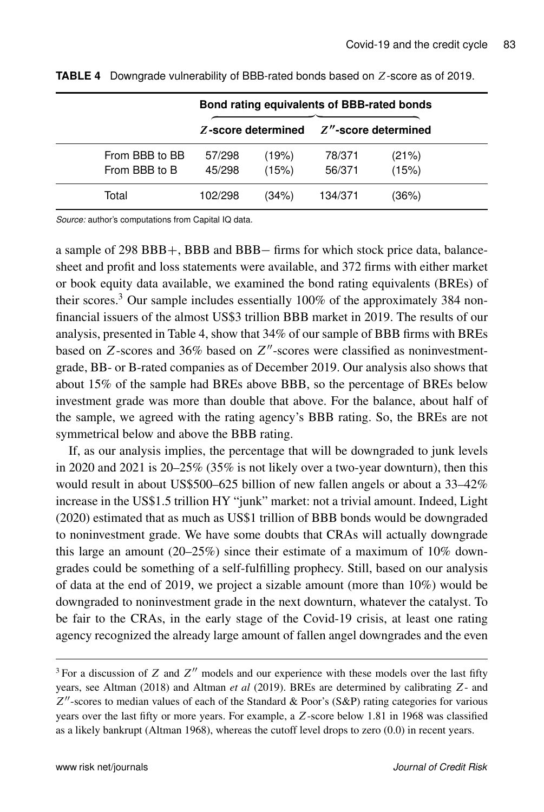|                |         |                    | Bond rating equivalents of BBB-rated bonds |                         |
|----------------|---------|--------------------|--------------------------------------------|-------------------------|
|                |         | Z-score determined |                                            | $Z''$ -score determined |
| From BBB to BB | 57/298  | (19%)              | 78/371                                     | (21%)                   |
| From BBB to B  | 45/298  | (15%)              | 56/371                                     | (15%)                   |
| Total          | 102/298 | (34%)              | 134/371                                    | (36%)                   |

**TABLE 4** Downgrade vulnerability of BBB-rated bonds based on Z-score as of 2019.

*Source:* author's computations from Capital IQ data.

a sample of  $298$  BBB $+$ , BBB and BBB $-$  firms for which stock price data, balancesheet and profit and loss statements were available, and 372 firms with either market or book equity data available, we examined the bond rating equivalents (BREs) of their scores.<sup>3</sup> Our sample includes essentially 100% of the approximately 384 nonfinancial issuers of the almost US\$3 trillion BBB market in 2019. The results of our analysis, presented in Table 4, show that 34% of our sample of BBB firms with BREs based on Z-scores and 36% based on  $Z''$ -scores were classified as noninvestmentgrade, BB- or B-rated companies as of December 2019. Our analysis also shows that about 15% of the sample had BREs above BBB, so the percentage of BREs below investment grade was more than double that above. For the balance, about half of the sample, we agreed with the rating agency's BBB rating. So, the BREs are not symmetrical below and above the BBB rating.

If, as our analysis implies, the percentage that will be downgraded to junk levels in 2020 and 2021 is 20–25% (35% is not likely over a two-year downturn), then this would result in about US\$500–625 billion of new fallen angels or about a 33–42% increase in the US\$1.5 trillion HY "junk" market: not a trivial amount. Indeed, Light (2020) estimated that as much as US\$1 trillion of BBB bonds would be downgraded to noninvestment grade. We have some doubts that CRAs will actually downgrade this large an amount (20–25%) since their estimate of a maximum of  $10\%$  downgrades could be something of a self-fulfilling prophecy. Still, based on our analysis of data at the end of 2019, we project a sizable amount (more than 10%) would be downgraded to noninvestment grade in the next downturn, whatever the catalyst. To be fair to the CRAs, in the early stage of the Covid-19 crisis, at least one rating agency recognized the already large amount of fallen angel downgrades and the even

<sup>&</sup>lt;sup>3</sup> For a discussion of Z and  $Z<sup>0</sup>$  models and our experience with these models over the last fifty years, see Altman (2018) and Altman *et al* (2019). BREs are determined by calibrating Z- and  $Z''$ -scores to median values of each of the Standard & Poor's (S&P) rating categories for various years over the last fifty or more years. For example, a Z-score below 1.81 in 1968 was classified as a likely bankrupt (Altman 1968), whereas the cutoff level drops to zero (0.0) in recent years.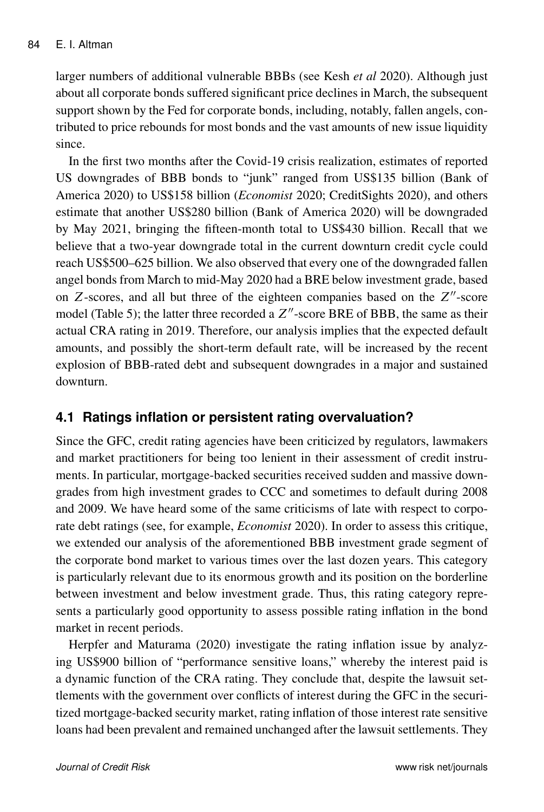larger numbers of additional vulnerable BBBs (see Kesh *et al* 2020). Although just about all corporate bonds suffered significant price declines in March, the subsequent support shown by the Fed for corporate bonds, including, notably, fallen angels, contributed to price rebounds for most bonds and the vast amounts of new issue liquidity since.

In the first two months after the Covid-19 crisis realization, estimates of reported US downgrades of BBB bonds to "junk" ranged from US\$135 billion (Bank of America 2020) to US\$158 billion (*Economist* 2020; CreditSights 2020), and others estimate that another US\$280 billion (Bank of America 2020) will be downgraded by May 2021, bringing the fifteen-month total to US\$430 billion. Recall that we believe that a two-year downgrade total in the current downturn credit cycle could reach US\$500–625 billion. We also observed that every one of the downgraded fallen angel bonds from March to mid-May 2020 had a BRE below investment grade, based on  $Z$ -scores, and all but three of the eighteen companies based on the  $Z''$ -score model (Table 5); the latter three recorded a  $Z''$ -score BRE of BBB, the same as their actual CRA rating in 2019. Therefore, our analysis implies that the expected default amounts, and possibly the short-term default rate, will be increased by the recent explosion of BBB-rated debt and subsequent downgrades in a major and sustained downturn.

### **4.1 Ratings inflation or persistent rating overvaluation?**

Since the GFC, credit rating agencies have been criticized by regulators, lawmakers and market practitioners for being too lenient in their assessment of credit instruments. In particular, mortgage-backed securities received sudden and massive downgrades from high investment grades to CCC and sometimes to default during 2008 and 2009. We have heard some of the same criticisms of late with respect to corporate debt ratings (see, for example, *Economist* 2020). In order to assess this critique, we extended our analysis of the aforementioned BBB investment grade segment of the corporate bond market to various times over the last dozen years. This category is particularly relevant due to its enormous growth and its position on the borderline between investment and below investment grade. Thus, this rating category represents a particularly good opportunity to assess possible rating inflation in the bond market in recent periods.

Herpfer and Maturama (2020) investigate the rating inflation issue by analyzing US\$900 billion of "performance sensitive loans," whereby the interest paid is a dynamic function of the CRA rating. They conclude that, despite the lawsuit settlements with the government over conflicts of interest during the GFC in the securitized mortgage-backed security market, rating inflation of those interest rate sensitive loans had been prevalent and remained unchanged after the lawsuit settlements. They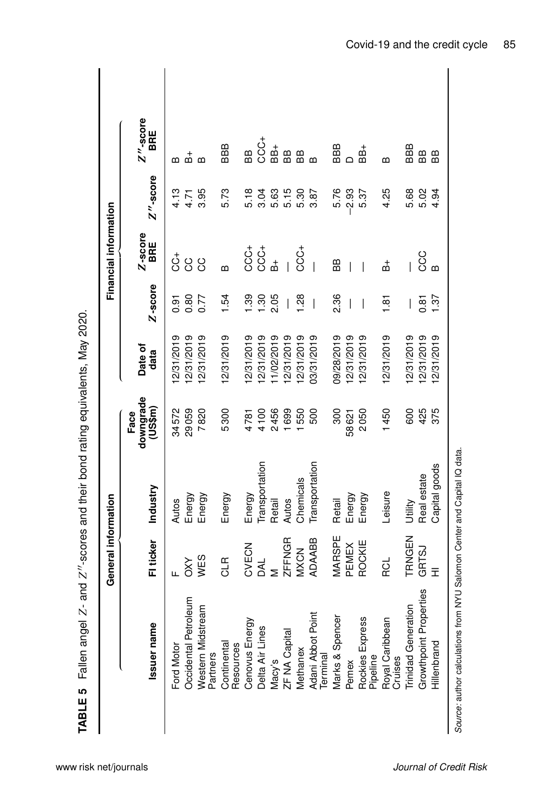| $Z''$ -score<br>BRE<br>CCC+<br>BBB<br>BBB<br>$B+$<br>BBB<br>88+<br>BB<br>BB<br>æ<br>$\mathop{\mathrm{BB}}$<br>BB<br>ക് ക<br>B<br>$\mathbf{a}$<br>≃<br>$Z''$ -score<br>5.73<br>5.76<br>$-2.93$<br>4.25<br>5.02<br>4.13<br>3.95<br>5.18<br>3.04<br>5.63<br>5.15<br>5.30<br>3.87<br>5.68<br>5.37<br>4.94<br>4.71<br>Z-score<br>BRE<br>CCC+<br>$C C +$<br>CCC+<br>CCC<br>$\stackrel{+}{\circ}$<br>CC<br>ပ္ပ<br>_<br>ሐ<br>BB<br><u>ដ</u><br>I<br>$\mathbf{a}$<br>മ<br>Z-score<br>2.36<br>139<br>1.28<br>0.80<br>1.54<br>1.30<br>2.05<br>1.37<br>0.77<br>0.91<br>$\frac{5}{1}$<br>0.81<br>$\overline{\phantom{a}}$<br>$\overline{\phantom{a}}$<br>$\overline{\phantom{a}}$<br>$\overline{1}$<br>2/31/2019<br>2/31/2019<br>12/31/2019<br>09/28/2019<br>2/31/2019<br>12/31/2019<br>2/31/2019<br>2/31/2019<br>2/31/2019<br>2/31/2019<br>2/31/2019<br>2/31/2019<br>1/02/2019<br>2/31/2019<br>2/31/2019<br>03/31/2019<br>2/31/2019<br>Date of<br>data<br>downgrade<br>(US\$m)<br>29059<br>7820<br>1450<br>375<br>34572<br>5300<br>4100<br>2456<br>1699<br>1550<br>500<br>300<br>2050<br>600<br>425<br>Face<br>4781<br>58621<br>Transportation<br>Transportation<br>Capital goods<br>Real estate<br>Chemicals<br>Industry<br>Leisure<br>Energy<br>Energy<br>Energy<br>Energy<br>Energy<br>Energy<br><b>Autos</b><br>Retail<br>Autos<br>Retail<br>Utility<br>MARSPE<br>TRNGEN<br><b>ZFFNGR</b><br><b>ADAABB</b><br>Fi ticker<br>ROCKIE<br>PEMEX<br>CVECN<br>GRTSJ<br><b>MXCN</b><br><b>WES</b><br>어<br>어<br>RCL<br>š<br><b>AL</b><br>Ξ<br>Growthpoint Properties<br>leum<br><b>Trinidad Generation</b><br>Western Midstream<br>⊭<br>Occidental Petrol<br>Marks & Spencer<br>Rockies Express<br>Royal Caribbean<br>Cruises<br>Adani Abbot Poir<br>Terminal<br>Cenovus Energy<br>Issuer name<br>Delta Air Lines<br>ZF NA Capital<br>Hillenbrand<br>Continental<br>Resources<br>Ford Motor<br>Methanex<br>Partners<br>Pipeline<br>Macy's<br>Pemex | General information |  |  | Financial information |  |
|-----------------------------------------------------------------------------------------------------------------------------------------------------------------------------------------------------------------------------------------------------------------------------------------------------------------------------------------------------------------------------------------------------------------------------------------------------------------------------------------------------------------------------------------------------------------------------------------------------------------------------------------------------------------------------------------------------------------------------------------------------------------------------------------------------------------------------------------------------------------------------------------------------------------------------------------------------------------------------------------------------------------------------------------------------------------------------------------------------------------------------------------------------------------------------------------------------------------------------------------------------------------------------------------------------------------------------------------------------------------------------------------------------------------------------------------------------------------------------------------------------------------------------------------------------------------------------------------------------------------------------------------------------------------------------------------------------------------------------------------------------------------------------------------------------------------------------------------------------------------------------------------------------------------------------------|---------------------|--|--|-----------------------|--|
|                                                                                                                                                                                                                                                                                                                                                                                                                                                                                                                                                                                                                                                                                                                                                                                                                                                                                                                                                                                                                                                                                                                                                                                                                                                                                                                                                                                                                                                                                                                                                                                                                                                                                                                                                                                                                                                                                                                                   |                     |  |  |                       |  |
|                                                                                                                                                                                                                                                                                                                                                                                                                                                                                                                                                                                                                                                                                                                                                                                                                                                                                                                                                                                                                                                                                                                                                                                                                                                                                                                                                                                                                                                                                                                                                                                                                                                                                                                                                                                                                                                                                                                                   |                     |  |  |                       |  |
|                                                                                                                                                                                                                                                                                                                                                                                                                                                                                                                                                                                                                                                                                                                                                                                                                                                                                                                                                                                                                                                                                                                                                                                                                                                                                                                                                                                                                                                                                                                                                                                                                                                                                                                                                                                                                                                                                                                                   |                     |  |  |                       |  |
|                                                                                                                                                                                                                                                                                                                                                                                                                                                                                                                                                                                                                                                                                                                                                                                                                                                                                                                                                                                                                                                                                                                                                                                                                                                                                                                                                                                                                                                                                                                                                                                                                                                                                                                                                                                                                                                                                                                                   |                     |  |  |                       |  |
|                                                                                                                                                                                                                                                                                                                                                                                                                                                                                                                                                                                                                                                                                                                                                                                                                                                                                                                                                                                                                                                                                                                                                                                                                                                                                                                                                                                                                                                                                                                                                                                                                                                                                                                                                                                                                                                                                                                                   |                     |  |  |                       |  |
|                                                                                                                                                                                                                                                                                                                                                                                                                                                                                                                                                                                                                                                                                                                                                                                                                                                                                                                                                                                                                                                                                                                                                                                                                                                                                                                                                                                                                                                                                                                                                                                                                                                                                                                                                                                                                                                                                                                                   |                     |  |  |                       |  |
|                                                                                                                                                                                                                                                                                                                                                                                                                                                                                                                                                                                                                                                                                                                                                                                                                                                                                                                                                                                                                                                                                                                                                                                                                                                                                                                                                                                                                                                                                                                                                                                                                                                                                                                                                                                                                                                                                                                                   |                     |  |  |                       |  |
|                                                                                                                                                                                                                                                                                                                                                                                                                                                                                                                                                                                                                                                                                                                                                                                                                                                                                                                                                                                                                                                                                                                                                                                                                                                                                                                                                                                                                                                                                                                                                                                                                                                                                                                                                                                                                                                                                                                                   |                     |  |  |                       |  |
|                                                                                                                                                                                                                                                                                                                                                                                                                                                                                                                                                                                                                                                                                                                                                                                                                                                                                                                                                                                                                                                                                                                                                                                                                                                                                                                                                                                                                                                                                                                                                                                                                                                                                                                                                                                                                                                                                                                                   |                     |  |  |                       |  |
|                                                                                                                                                                                                                                                                                                                                                                                                                                                                                                                                                                                                                                                                                                                                                                                                                                                                                                                                                                                                                                                                                                                                                                                                                                                                                                                                                                                                                                                                                                                                                                                                                                                                                                                                                                                                                                                                                                                                   |                     |  |  |                       |  |
|                                                                                                                                                                                                                                                                                                                                                                                                                                                                                                                                                                                                                                                                                                                                                                                                                                                                                                                                                                                                                                                                                                                                                                                                                                                                                                                                                                                                                                                                                                                                                                                                                                                                                                                                                                                                                                                                                                                                   |                     |  |  |                       |  |
|                                                                                                                                                                                                                                                                                                                                                                                                                                                                                                                                                                                                                                                                                                                                                                                                                                                                                                                                                                                                                                                                                                                                                                                                                                                                                                                                                                                                                                                                                                                                                                                                                                                                                                                                                                                                                                                                                                                                   |                     |  |  |                       |  |
|                                                                                                                                                                                                                                                                                                                                                                                                                                                                                                                                                                                                                                                                                                                                                                                                                                                                                                                                                                                                                                                                                                                                                                                                                                                                                                                                                                                                                                                                                                                                                                                                                                                                                                                                                                                                                                                                                                                                   |                     |  |  |                       |  |
|                                                                                                                                                                                                                                                                                                                                                                                                                                                                                                                                                                                                                                                                                                                                                                                                                                                                                                                                                                                                                                                                                                                                                                                                                                                                                                                                                                                                                                                                                                                                                                                                                                                                                                                                                                                                                                                                                                                                   |                     |  |  |                       |  |
|                                                                                                                                                                                                                                                                                                                                                                                                                                                                                                                                                                                                                                                                                                                                                                                                                                                                                                                                                                                                                                                                                                                                                                                                                                                                                                                                                                                                                                                                                                                                                                                                                                                                                                                                                                                                                                                                                                                                   |                     |  |  |                       |  |
|                                                                                                                                                                                                                                                                                                                                                                                                                                                                                                                                                                                                                                                                                                                                                                                                                                                                                                                                                                                                                                                                                                                                                                                                                                                                                                                                                                                                                                                                                                                                                                                                                                                                                                                                                                                                                                                                                                                                   |                     |  |  |                       |  |
|                                                                                                                                                                                                                                                                                                                                                                                                                                                                                                                                                                                                                                                                                                                                                                                                                                                                                                                                                                                                                                                                                                                                                                                                                                                                                                                                                                                                                                                                                                                                                                                                                                                                                                                                                                                                                                                                                                                                   |                     |  |  |                       |  |
|                                                                                                                                                                                                                                                                                                                                                                                                                                                                                                                                                                                                                                                                                                                                                                                                                                                                                                                                                                                                                                                                                                                                                                                                                                                                                                                                                                                                                                                                                                                                                                                                                                                                                                                                                                                                                                                                                                                                   |                     |  |  |                       |  |

Fallen angel  $Z$ - and  $Z''$ -scores and their bond rating equivalents. May 2020.  $Z''$ -scores and their bond rating equivalents, May 2020.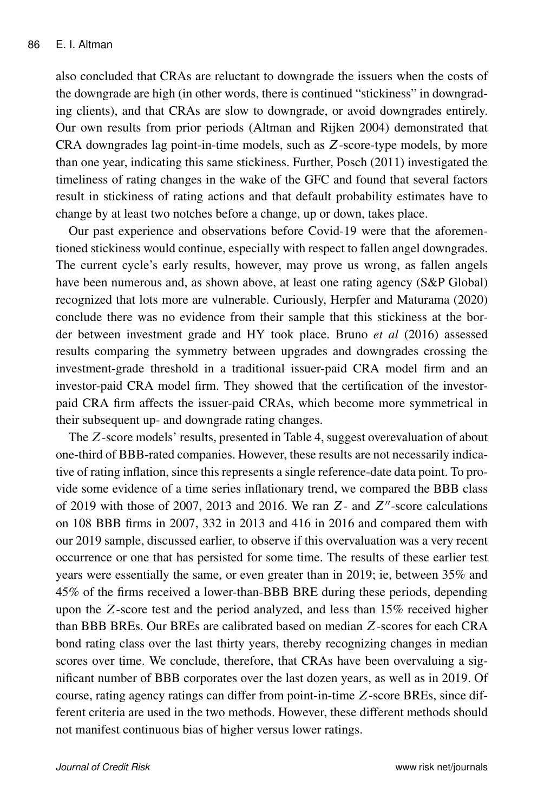also concluded that CRAs are reluctant to downgrade the issuers when the costs of the downgrade are high (in other words, there is continued "stickiness" in downgrading clients), and that CRAs are slow to downgrade, or avoid downgrades entirely. Our own results from prior periods (Altman and Rijken 2004) demonstrated that CRA downgrades lag point-in-time models, such as Z-score-type models, by more than one year, indicating this same stickiness. Further, Posch (2011) investigated the timeliness of rating changes in the wake of the GFC and found that several factors result in stickiness of rating actions and that default probability estimates have to change by at least two notches before a change, up or down, takes place.

Our past experience and observations before Covid-19 were that the aforementioned stickiness would continue, especially with respect to fallen angel downgrades. The current cycle's early results, however, may prove us wrong, as fallen angels have been numerous and, as shown above, at least one rating agency (S&P Global) recognized that lots more are vulnerable. Curiously, Herpfer and Maturama (2020) conclude there was no evidence from their sample that this stickiness at the border between investment grade and HY took place. Bruno *et al* (2016) assessed results comparing the symmetry between upgrades and downgrades crossing the investment-grade threshold in a traditional issuer-paid CRA model firm and an investor-paid CRA model firm. They showed that the certification of the investorpaid CRA firm affects the issuer-paid CRAs, which become more symmetrical in their subsequent up- and downgrade rating changes.

The Z-score models' results, presented in Table 4, suggest overevaluation of about one-third of BBB-rated companies. However, these results are not necessarily indicative of rating inflation, since this represents a single reference-date data point. To provide some evidence of a time series inflationary trend, we compared the BBB class of 2019 with those of 2007, 2013 and 2016. We ran  $Z$ - and  $Z''$ -score calculations on 108 BBB firms in 2007, 332 in 2013 and 416 in 2016 and compared them with our 2019 sample, discussed earlier, to observe if this overvaluation was a very recent occurrence or one that has persisted for some time. The results of these earlier test years were essentially the same, or even greater than in 2019; ie, between 35% and 45% of the firms received a lower-than-BBB BRE during these periods, depending upon the Z-score test and the period analyzed, and less than 15% received higher than BBB BREs. Our BREs are calibrated based on median Z-scores for each CRA bond rating class over the last thirty years, thereby recognizing changes in median scores over time. We conclude, therefore, that CRAs have been overvaluing a significant number of BBB corporates over the last dozen years, as well as in 2019. Of course, rating agency ratings can differ from point-in-time Z-score BREs, since different criteria are used in the two methods. However, these different methods should not manifest continuous bias of higher versus lower ratings.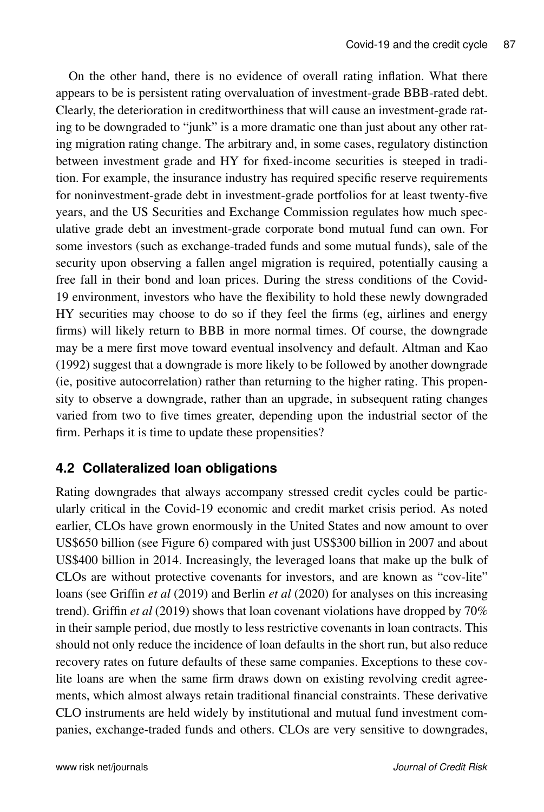On the other hand, there is no evidence of overall rating inflation. What there appears to be is persistent rating overvaluation of investment-grade BBB-rated debt. Clearly, the deterioration in creditworthiness that will cause an investment-grade rating to be downgraded to "junk" is a more dramatic one than just about any other rating migration rating change. The arbitrary and, in some cases, regulatory distinction between investment grade and HY for fixed-income securities is steeped in tradition. For example, the insurance industry has required specific reserve requirements for noninvestment-grade debt in investment-grade portfolios for at least twenty-five years, and the US Securities and Exchange Commission regulates how much speculative grade debt an investment-grade corporate bond mutual fund can own. For some investors (such as exchange-traded funds and some mutual funds), sale of the security upon observing a fallen angel migration is required, potentially causing a free fall in their bond and loan prices. During the stress conditions of the Covid-19 environment, investors who have the flexibility to hold these newly downgraded HY securities may choose to do so if they feel the firms (eg, airlines and energy firms) will likely return to BBB in more normal times. Of course, the downgrade may be a mere first move toward eventual insolvency and default. Altman and Kao (1992) suggest that a downgrade is more likely to be followed by another downgrade (ie, positive autocorrelation) rather than returning to the higher rating. This propensity to observe a downgrade, rather than an upgrade, in subsequent rating changes varied from two to five times greater, depending upon the industrial sector of the firm. Perhaps it is time to update these propensities?

### **4.2 Collateralized loan obligations**

Rating downgrades that always accompany stressed credit cycles could be particularly critical in the Covid-19 economic and credit market crisis period. As noted earlier, CLOs have grown enormously in the United States and now amount to over US\$650 billion (see Figure 6) compared with just US\$300 billion in 2007 and about US\$400 billion in 2014. Increasingly, the leveraged loans that make up the bulk of CLOs are without protective covenants for investors, and are known as "cov-lite" loans (see Griffin *et al* (2019) and Berlin *et al* (2020) for analyses on this increasing trend). Griffin *et al* (2019) shows that loan covenant violations have dropped by 70% in their sample period, due mostly to less restrictive covenants in loan contracts. This should not only reduce the incidence of loan defaults in the short run, but also reduce recovery rates on future defaults of these same companies. Exceptions to these covlite loans are when the same firm draws down on existing revolving credit agreements, which almost always retain traditional financial constraints. These derivative CLO instruments are held widely by institutional and mutual fund investment companies, exchange-traded funds and others. CLOs are very sensitive to downgrades,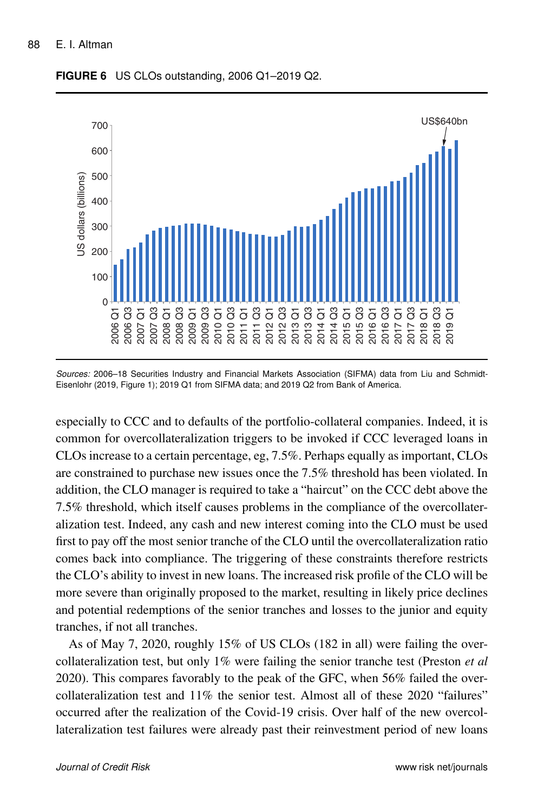

**FIGURE 6** US CLOs outstanding, 2006 Q1–2019 Q2.

*Sources:* 2006–18 Securities Industry and Financial Markets Association (SIFMA) data from Liu and Schmidt-Eisenlohr (2019, Figure 1); 2019 Q1 from SIFMA data; and 2019 Q2 from Bank of America.

especially to CCC and to defaults of the portfolio-collateral companies. Indeed, it is common for overcollateralization triggers to be invoked if CCC leveraged loans in CLOs increase to a certain percentage, eg, 7.5%. Perhaps equally as important, CLOs are constrained to purchase new issues once the 7.5% threshold has been violated. In addition, the CLO manager is required to take a "haircut" on the CCC debt above the 7.5% threshold, which itself causes problems in the compliance of the overcollateralization test. Indeed, any cash and new interest coming into the CLO must be used first to pay off the most senior tranche of the CLO until the overcollateralization ratio comes back into compliance. The triggering of these constraints therefore restricts the CLO's ability to invest in new loans. The increased risk profile of the CLO will be more severe than originally proposed to the market, resulting in likely price declines and potential redemptions of the senior tranches and losses to the junior and equity tranches, if not all tranches.

As of May 7, 2020, roughly 15% of US CLOs (182 in all) were failing the overcollateralization test, but only 1% were failing the senior tranche test (Preston *et al* 2020). This compares favorably to the peak of the GFC, when 56% failed the overcollateralization test and 11% the senior test. Almost all of these 2020 "failures" occurred after the realization of the Covid-19 crisis. Over half of the new overcollateralization test failures were already past their reinvestment period of new loans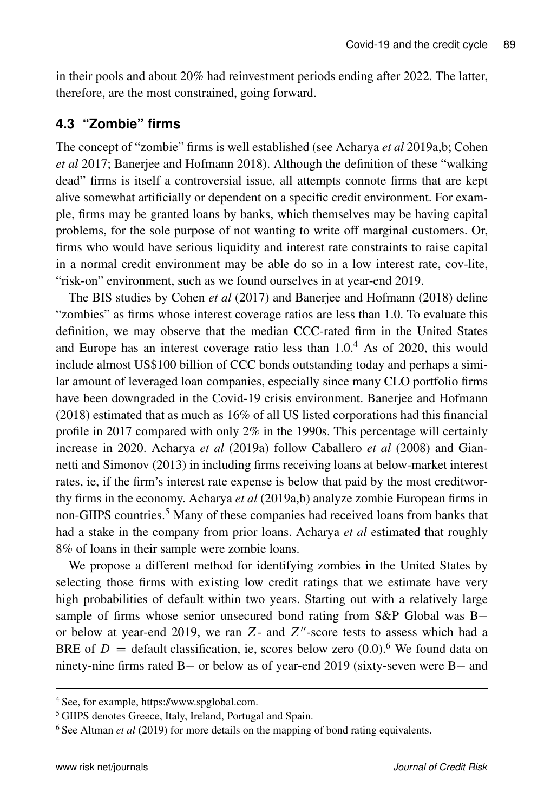in their pools and about 20% had reinvestment periods ending after 2022. The latter, therefore, are the most constrained, going forward.

### **4.3 "Zombie" firms**

The concept of "zombie" firms is well established (see Acharya *et al* 2019a,b; Cohen *et al* 2017; Banerjee and Hofmann 2018). Although the definition of these "walking dead" firms is itself a controversial issue, all attempts connote firms that are kept alive somewhat artificially or dependent on a specific credit environment. For example, firms may be granted loans by banks, which themselves may be having capital problems, for the sole purpose of not wanting to write off marginal customers. Or, firms who would have serious liquidity and interest rate constraints to raise capital in a normal credit environment may be able do so in a low interest rate, cov-lite, "risk-on" environment, such as we found ourselves in at year-end 2019.

The BIS studies by Cohen *et al* (2017) and Banerjee and Hofmann (2018) define "zombies" as firms whose interest coverage ratios are less than 1.0. To evaluate this definition, we may observe that the median CCC-rated firm in the United States and Europe has an interest coverage ratio less than  $1.0<sup>4</sup>$  As of 2020, this would include almost US\$100 billion of CCC bonds outstanding today and perhaps a similar amount of leveraged loan companies, especially since many CLO portfolio firms have been downgraded in the Covid-19 crisis environment. Banerjee and Hofmann (2018) estimated that as much as 16% of all US listed corporations had this financial profile in 2017 compared with only 2% in the 1990s. This percentage will certainly increase in 2020. Acharya *et al* (2019a) follow Caballero *et al* (2008) and Giannetti and Simonov (2013) in including firms receiving loans at below-market interest rates, ie, if the firm's interest rate expense is below that paid by the most creditworthy firms in the economy. Acharya *et al* (2019a,b) analyze zombie European firms in non-GIIPS countries.<sup>5</sup> Many of these companies had received loans from banks that had a stake in the company from prior loans. Acharya *et al* estimated that roughly 8% of loans in their sample were zombie loans.

We propose a different method for identifying zombies in the United States by selecting those firms with existing low credit ratings that we estimate have very high probabilities of default within two years. Starting out with a relatively large sample of firms whose senior unsecured bond rating from S&P Global was B or below at year-end 2019, we ran  $Z$ - and  $Z''$ -score tests to assess which had a BRE of  $D =$  default classification, ie, scores below zero (0.0).<sup>6</sup> We found data on ninety-nine firms rated  $B-$  or below as of year-end 2019 (sixty-seven were  $B-$  and

<sup>4</sup> See, for example, https://www.spglobal.com.

<sup>5</sup> GIIPS denotes Greece, Italy, Ireland, Portugal and Spain.

<sup>6</sup> See Altman *et al* (2019) for more details on the mapping of bond rating equivalents.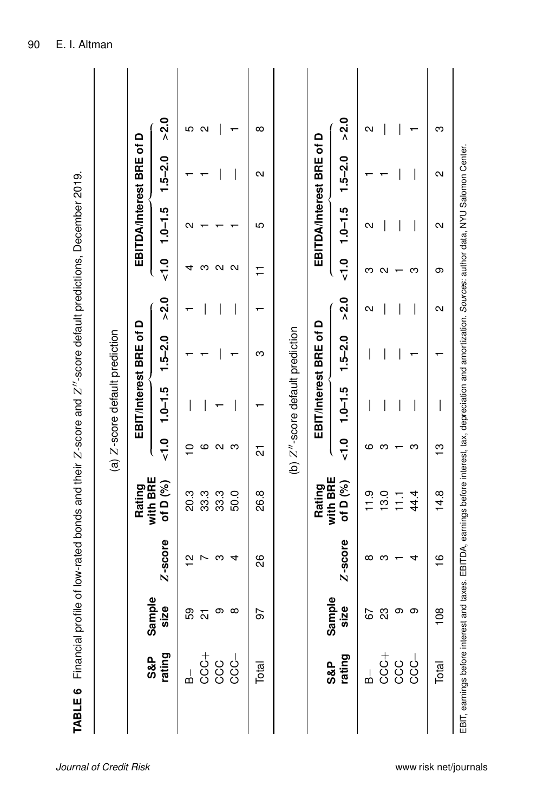|                                |                                                                   |                                      |               |                                                                                                                           |                      | (a) Z-score default prediction  |             |        |                      |                   |                          |                   |  |
|--------------------------------|-------------------------------------------------------------------|--------------------------------------|---------------|---------------------------------------------------------------------------------------------------------------------------|----------------------|---------------------------------|-------------|--------|----------------------|-------------------|--------------------------|-------------------|--|
|                                |                                                                   |                                      |               | Rating                                                                                                                    |                      | EBIT/Interest BRE of D          |             |        |                      |                   | EBITDA/Interest BRE of D |                   |  |
|                                | S&P<br>rating                                                     | mple<br><u>ize</u><br>Sār<br>.<br>ທີ | Z-score       | with BRE<br>of D (%)                                                                                                      | $\frac{0}{\sqrt{2}}$ | $1.0 - 1.5$                     | $1.5 - 2.0$ | > 2.0  | $\frac{0}{\sqrt{2}}$ | $1.0 - 1.5$       | $1.5 - 2.0$              | > 2.0             |  |
|                                | ക്                                                                | 59                                   | 으             | 20.3                                                                                                                      | ₽                    |                                 |             |        | 4                    | ิ                 |                          | ഥ                 |  |
|                                |                                                                   | 21                                   | L             | 33.3                                                                                                                      | ဖ                    |                                 |             |        | ო                    |                   |                          | $\mathbf{\Omega}$ |  |
|                                | $\begin{array}{c} 1 \\ 0 \\ 0 \\ 0 \\ 0 \\ 0 \\ 0 \\ \end{array}$ | თ                                    | ო             | 33.3                                                                                                                      | N                    |                                 |             |        | N                    |                   |                          |                   |  |
|                                |                                                                   | $^\infty$                            | 4             | 50.0                                                                                                                      | က                    |                                 |             |        | N                    |                   |                          |                   |  |
|                                | Total                                                             | 56                                   | 88            | 26.8                                                                                                                      | 21                   |                                 | ო           |        | $\overline{1}$       | ю                 | Ν                        | ∞                 |  |
|                                |                                                                   |                                      |               |                                                                                                                           |                      | (b) Z"-score default prediction |             |        |                      |                   |                          |                   |  |
|                                |                                                                   |                                      |               | with BRE<br><b>Rating</b>                                                                                                 |                      | EBIT/Interest BRE of D          |             |        |                      |                   | EBITDA/Interest BRE of D |                   |  |
|                                | S&P<br>rating                                                     | mple<br>ize<br>.<br>ທີ<br>Sār        | Z-score       | of D (%)                                                                                                                  | $\frac{0}{\sqrt{2}}$ | $1.0 - 1.5$                     | $1.5 - 2.0$ | >2.0   | $\frac{0}{\sqrt{2}}$ | $1.0 - 1.5$       | $1.5 - 2.0$              | >2.0              |  |
|                                | ക്                                                                | 67                                   | ∞             | 11.9                                                                                                                      | ဖ                    |                                 |             | Ν      | ო                    | Ν                 |                          | Ν                 |  |
|                                |                                                                   | 23                                   | ო             | 13.0                                                                                                                      | ო                    |                                 |             |        | N                    |                   |                          |                   |  |
|                                | $\begin{array}{c} 1 \\ 0 \\ 0 \\ 0 \\ 0 \\ 0 \\ 0 \\ \end{array}$ | თ                                    |               | $\frac{1}{11}$                                                                                                            |                      |                                 |             |        |                      |                   |                          |                   |  |
|                                |                                                                   | တ                                    | 4             | 44.4                                                                                                                      | ო                    | I                               |             | I      | ო                    |                   |                          |                   |  |
|                                | Total                                                             | $8^{\circ}$                          | $\frac{6}{1}$ | 14.8                                                                                                                      | ဗု                   |                                 |             | $\sim$ | တ                    | $\mathbf{\Omega}$ | $\sim$                   | ო                 |  |
| EBIT, earnings before interest |                                                                   |                                      |               | and taxes. EBITDA, earnings before interest, tax, depreciation and amortization. Sources: author data, NYU Salomon Center |                      |                                 |             |        |                      |                   |                          |                   |  |

Č ÷ ÷  $\overline{1}$ ہا<br>جا  $\frac{1}{2}$  $\triangleright$ .,  $\frac{4}{7}$  $\frac{1}{\sqrt{2}}$  $\frac{1}{7}$  $\frac{1}{2}$ ÷ ੇ Ĥ ÷ ü  $\frac{c}{L}$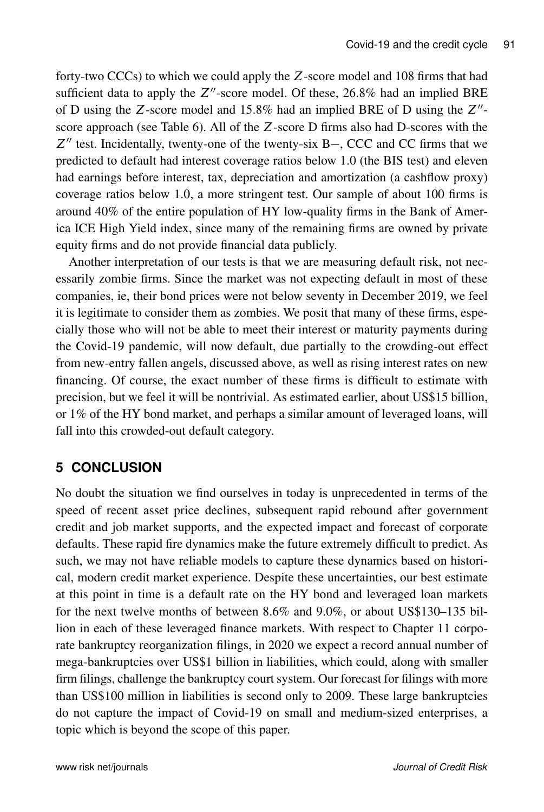forty-two CCCs) to which we could apply the Z-score model and 108 firms that had sufficient data to apply the  $Z''$ -score model. Of these, 26.8% had an implied BRE of D using the Z-score model and  $15.8\%$  had an implied BRE of D using the  $Z''$ score approach (see Table 6). All of the Z-score D firms also had D-scores with the  $Z''$  test. Incidentally, twenty-one of the twenty-six B-, CCC and CC firms that we predicted to default had interest coverage ratios below 1.0 (the BIS test) and eleven had earnings before interest, tax, depreciation and amortization (a cashflow proxy) coverage ratios below 1.0, a more stringent test. Our sample of about 100 firms is around 40% of the entire population of HY low-quality firms in the Bank of America ICE High Yield index, since many of the remaining firms are owned by private equity firms and do not provide financial data publicly.

Another interpretation of our tests is that we are measuring default risk, not necessarily zombie firms. Since the market was not expecting default in most of these companies, ie, their bond prices were not below seventy in December 2019, we feel it is legitimate to consider them as zombies. We posit that many of these firms, especially those who will not be able to meet their interest or maturity payments during the Covid-19 pandemic, will now default, due partially to the crowding-out effect from new-entry fallen angels, discussed above, as well as rising interest rates on new financing. Of course, the exact number of these firms is difficult to estimate with precision, but we feel it will be nontrivial. As estimated earlier, about US\$15 billion, or 1% of the HY bond market, and perhaps a similar amount of leveraged loans, will fall into this crowded-out default category.

# **5 CONCLUSION**

No doubt the situation we find ourselves in today is unprecedented in terms of the speed of recent asset price declines, subsequent rapid rebound after government credit and job market supports, and the expected impact and forecast of corporate defaults. These rapid fire dynamics make the future extremely difficult to predict. As such, we may not have reliable models to capture these dynamics based on historical, modern credit market experience. Despite these uncertainties, our best estimate at this point in time is a default rate on the HY bond and leveraged loan markets for the next twelve months of between 8.6% and 9.0%, or about US\$130–135 billion in each of these leveraged finance markets. With respect to Chapter 11 corporate bankruptcy reorganization filings, in 2020 we expect a record annual number of mega-bankruptcies over US\$1 billion in liabilities, which could, along with smaller firm filings, challenge the bankruptcy court system. Our forecast for filings with more than US\$100 million in liabilities is second only to 2009. These large bankruptcies do not capture the impact of Covid-19 on small and medium-sized enterprises, a topic which is beyond the scope of this paper.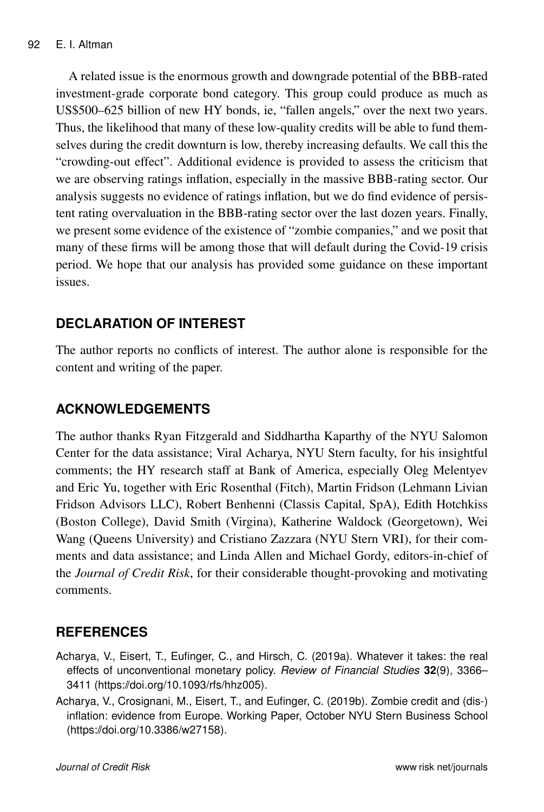A related issue is the enormous growth and downgrade potential of the BBB-rated investment-grade corporate bond category. This group could produce as much as US\$500–625 billion of new HY bonds, ie, "fallen angels," over the next two years. Thus, the likelihood that many of these low-quality credits will be able to fund themselves during the credit downturn is low, thereby increasing defaults. We call this the "crowding-out effect". Additional evidence is provided to assess the criticism that we are observing ratings inflation, especially in the massive BBB-rating sector. Our analysis suggests no evidence of ratings inflation, but we do find evidence of persistent rating overvaluation in the BBB-rating sector over the last dozen years. Finally, we present some evidence of the existence of "zombie companies," and we posit that many of these firms will be among those that will default during the Covid-19 crisis period. We hope that our analysis has provided some guidance on these important issues.

### **DECLARATION OF INTEREST**

The author reports no conflicts of interest. The author alone is responsible for the content and writing of the paper.

### **ACKNOWLEDGEMENTS**

The author thanks Ryan Fitzgerald and Siddhartha Kaparthy of the NYU Salomon Center for the data assistance; Viral Acharya, NYU Stern faculty, for his insightful comments; the HY research staff at Bank of America, especially Oleg Melentyev and Eric Yu, together with Eric Rosenthal (Fitch), Martin Fridson (Lehmann Livian Fridson Advisors LLC), Robert Benhenni (Classis Capital, SpA), Edith Hotchkiss (Boston College), David Smith (Virgina), Katherine Waldock (Georgetown), Wei Wang (Queens University) and Cristiano Zazzara (NYU Stern VRI), for their comments and data assistance; and Linda Allen and Michael Gordy, editors-in-chief of the *Journal of Credit Risk*, for their considerable thought-provoking and motivating comments.

# **REFERENCES**

- Acharya, V., Eisert, T., Eufinger, C., and Hirsch, C. (2019a). Whatever it takes: the real effects of unconventional monetary policy. *Review of Financial Studies* **32**(9), 3366– 3411 (https://doi.org/10.1093/rfs/hhz005).
- Acharya, V., Crosignani, M., Eisert, T., and Eufinger, C. (2019b). Zombie credit and (dis-) inflation: evidence from Europe. Working Paper, October NYU Stern Business School (https://doi.org/10.3386/w27158).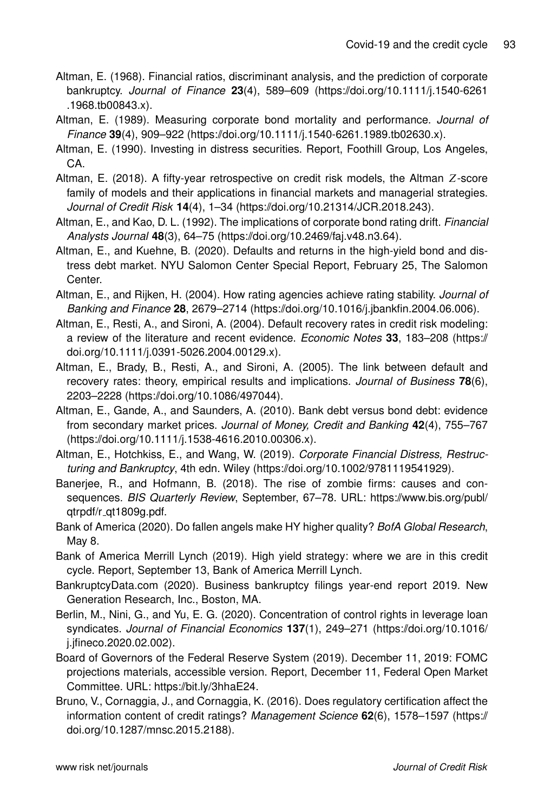- Altman, E. (1968). Financial ratios, discriminant analysis, and the prediction of corporate bankruptcy. *Journal of Finance* **23**(4), 589–609 (https://doi.org/10.1111/j.1540-6261 .1968.tb00843.x).
- Altman, E. (1989). Measuring corporate bond mortality and performance. *Journal of Finance* **39**(4), 909–922 (https://doi.org/10.1111/j.1540-6261.1989.tb02630.x).
- Altman, E. (1990). Investing in distress securities. Report, Foothill Group, Los Angeles, CA.
- Altman, E. (2018). A fifty-year retrospective on credit risk models, the Altman Z-score family of models and their applications in financial markets and managerial strategies. *Journal of Credit Risk* **14**(4), 1–34 (https://doi.org/10.21314/JCR.2018.243).
- Altman, E., and Kao, D. L. (1992). The implications of corporate bond rating drift. *Financial Analysts Journal* **48**(3), 64–75 (https://doi.org/10.2469/faj.v48.n3.64).
- Altman, E., and Kuehne, B. (2020). Defaults and returns in the high-yield bond and distress debt market. NYU Salomon Center Special Report, February 25, The Salomon Center.
- Altman, E., and Rijken, H. (2004). How rating agencies achieve rating stability. *Journal of Banking and Finance* **28**, 2679–2714 (https://doi.org/10.1016/j.jbankfin.2004.06.006).
- Altman, E., Resti, A., and Sironi, A. (2004). Default recovery rates in credit risk modeling: a review of the literature and recent evidence. *Economic Notes* **33**, 183–208 (https:// doi.org/10.1111/j.0391-5026.2004.00129.x).
- Altman, E., Brady, B., Resti, A., and Sironi, A. (2005). The link between default and recovery rates: theory, empirical results and implications. *Journal of Business* **78**(6), 2203–2228 (https://doi.org/10.1086/497044).
- Altman, E., Gande, A., and Saunders, A. (2010). Bank debt versus bond debt: evidence from secondary market prices. *Journal of Money, Credit and Banking* **42**(4), 755–767 (https://doi.org/10.1111/j.1538-4616.2010.00306.x).
- Altman, E., Hotchkiss, E., and Wang, W. (2019). *Corporate Financial Distress, Restructuring and Bankruptcy*, 4th edn. Wiley (https://doi.org/10.1002/9781119541929).
- Banerjee, R., and Hofmann, B. (2018). The rise of zombie firms: causes and consequences. *BIS Quarterly Review*, September, 67–78. URL: https://www.bis.org/publ/ qtrpdf/r qt1809g.pdf.
- Bank of America (2020). Do fallen angels make HY higher quality? *BofA Global Research*, May 8.
- Bank of America Merrill Lynch (2019). High yield strategy: where we are in this credit cycle. Report, September 13, Bank of America Merrill Lynch.
- BankruptcyData.com (2020). Business bankruptcy filings year-end report 2019. New Generation Research, Inc., Boston, MA.
- Berlin, M., Nini, G., and Yu, E. G. (2020). Concentration of control rights in leverage loan syndicates. *Journal of Financial Economics* **137**(1), 249–271 (https://doi.org/10.1016/ j.jfineco.2020.02.002).
- Board of Governors of the Federal Reserve System (2019). December 11, 2019: FOMC projections materials, accessible version. Report, December 11, Federal Open Market Committee. URL: https://bit.ly/3hhaE24.
- Bruno, V., Cornaggia, J., and Cornaggia, K. (2016). Does regulatory certification affect the information content of credit ratings? *Management Science* **62**(6), 1578–1597 (https:// doi.org/10.1287/mnsc.2015.2188).